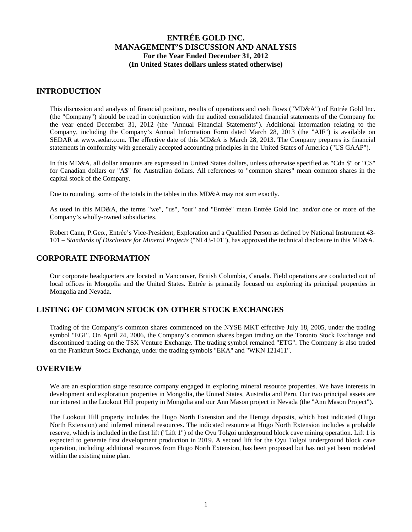### **INTRODUCTION**

This discussion and analysis of financial position, results of operations and cash flows ("MD&A") of Entrée Gold Inc. (the "Company") should be read in conjunction with the audited consolidated financial statements of the Company for the year ended December 31, 2012 (the "Annual Financial Statements"). Additional information relating to the Company, including the Company's Annual Information Form dated March 28, 2013 (the "AIF") is available on SEDAR at www.sedar.com. The effective date of this MD&A is March 28, 2013. The Company prepares its financial statements in conformity with generally accepted accounting principles in the United States of America ("US GAAP").

In this MD&A, all dollar amounts are expressed in United States dollars, unless otherwise specified as "Cdn \$" or "C\$" for Canadian dollars or "A\$" for Australian dollars. All references to "common shares" mean common shares in the capital stock of the Company.

Due to rounding, some of the totals in the tables in this MD&A may not sum exactly.

As used in this MD&A, the terms "we", "us", "our" and "Entrée" mean Entrée Gold Inc. and/or one or more of the Company's wholly-owned subsidiaries.

Robert Cann, P.Geo., Entrée's Vice-President, Exploration and a Qualified Person as defined by National Instrument 43- 101 – *Standards of Disclosure for Mineral Projects* ("NI 43-101"), has approved the technical disclosure in this MD&A.

### **CORPORATE INFORMATION**

Our corporate headquarters are located in Vancouver, British Columbia, Canada. Field operations are conducted out of local offices in Mongolia and the United States. Entrée is primarily focused on exploring its principal properties in Mongolia and Nevada.

## **LISTING OF COMMON STOCK ON OTHER STOCK EXCHANGES**

Trading of the Company's common shares commenced on the NYSE MKT effective July 18, 2005, under the trading symbol "EGI". On April 24, 2006, the Company's common shares began trading on the Toronto Stock Exchange and discontinued trading on the TSX Venture Exchange. The trading symbol remained "ETG". The Company is also traded on the Frankfurt Stock Exchange, under the trading symbols "EKA" and "WKN 121411".

### **OVERVIEW**

We are an exploration stage resource company engaged in exploring mineral resource properties. We have interests in development and exploration properties in Mongolia, the United States, Australia and Peru. Our two principal assets are our interest in the Lookout Hill property in Mongolia and our Ann Mason project in Nevada (the "Ann Mason Project").

The Lookout Hill property includes the Hugo North Extension and the Heruga deposits, which host indicated (Hugo North Extension) and inferred mineral resources. The indicated resource at Hugo North Extension includes a probable reserve, which is included in the first lift ("Lift 1") of the Oyu Tolgoi underground block cave mining operation. Lift 1 is expected to generate first development production in 2019. A second lift for the Oyu Tolgoi underground block cave operation, including additional resources from Hugo North Extension, has been proposed but has not yet been modeled within the existing mine plan.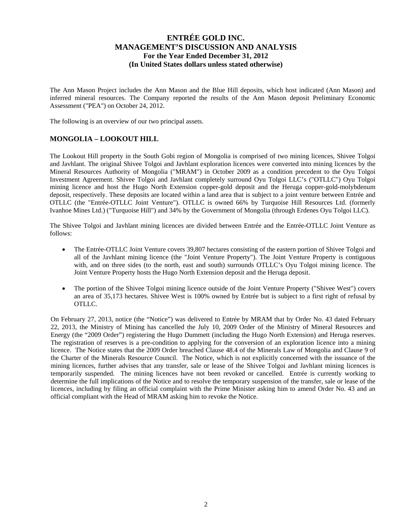The Ann Mason Project includes the Ann Mason and the Blue Hill deposits, which host indicated (Ann Mason) and inferred mineral resources. The Company reported the results of the Ann Mason deposit Preliminary Economic Assessment ("PEA") on October 24, 2012.

The following is an overview of our two principal assets.

### **MONGOLIA – LOOKOUT HILL**

The Lookout Hill property in the South Gobi region of Mongolia is comprised of two mining licences, Shivee Tolgoi and Javhlant. The original Shivee Tolgoi and Javhlant exploration licences were converted into mining licences by the Mineral Resources Authority of Mongolia ("MRAM") in October 2009 as a condition precedent to the Oyu Tolgoi Investment Agreement. Shivee Tolgoi and Javhlant completely surround Oyu Tolgoi LLC's ("OTLLC") Oyu Tolgoi mining licence and host the Hugo North Extension copper-gold deposit and the Heruga copper-gold-molybdenum deposit, respectively. These deposits are located within a land area that is subject to a joint venture between Entrée and OTLLC (the "Entrée-OTLLC Joint Venture"). OTLLC is owned 66% by Turquoise Hill Resources Ltd. (formerly Ivanhoe Mines Ltd.) ("Turquoise Hill") and 34% by the Government of Mongolia (through Erdenes Oyu Tolgoi LLC).

The Shivee Tolgoi and Javhlant mining licences are divided between Entrée and the Entrée-OTLLC Joint Venture as follows:

- The Entrée-OTLLC Joint Venture covers 39,807 hectares consisting of the eastern portion of Shivee Tolgoi and all of the Javhlant mining licence (the "Joint Venture Property"). The Joint Venture Property is contiguous with, and on three sides (to the north, east and south) surrounds OTLLC's Oyu Tolgoi mining licence. The Joint Venture Property hosts the Hugo North Extension deposit and the Heruga deposit.
- The portion of the Shivee Tolgoi mining licence outside of the Joint Venture Property ("Shivee West") covers an area of 35,173 hectares. Shivee West is 100% owned by Entrée but is subject to a first right of refusal by OTLLC.

On February 27, 2013, notice (the "Notice") was delivered to Entrée by MRAM that by Order No. 43 dated February 22, 2013, the Ministry of Mining has cancelled the July 10, 2009 Order of the Ministry of Mineral Resources and Energy (the "2009 Order") registering the Hugo Dummett (including the Hugo North Extension) and Heruga reserves. The registration of reserves is a pre-condition to applying for the conversion of an exploration licence into a mining licence. The Notice states that the 2009 Order breached Clause 48.4 of the Minerals Law of Mongolia and Clause 9 of the Charter of the Minerals Resource Council. The Notice, which is not explicitly concerned with the issuance of the mining licences, further advises that any transfer, sale or lease of the Shivee Tolgoi and Javhlant mining licences is temporarily suspended. The mining licences have not been revoked or cancelled. Entrée is currently working to determine the full implications of the Notice and to resolve the temporary suspension of the transfer, sale or lease of the licences, including by filing an official complaint with the Prime Minister asking him to amend Order No. 43 and an official compliant with the Head of MRAM asking him to revoke the Notice.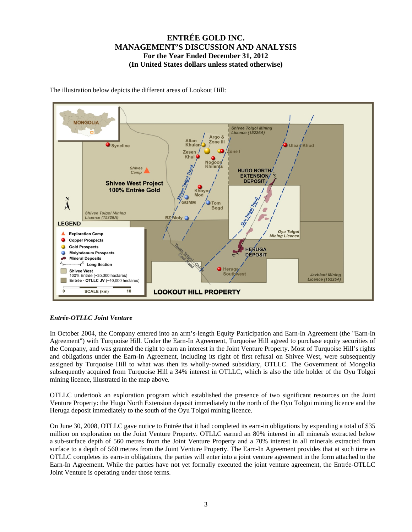

The illustration below depicts the different areas of Lookout Hill:

#### *Entrée-OTLLC Joint Venture*

In October 2004, the Company entered into an arm's-length Equity Participation and Earn-In Agreement (the "Earn-In Agreement") with Turquoise Hill. Under the Earn-In Agreement, Turquoise Hill agreed to purchase equity securities of the Company, and was granted the right to earn an interest in the Joint Venture Property. Most of Turquoise Hill's rights and obligations under the Earn-In Agreement, including its right of first refusal on Shivee West, were subsequently assigned by Turquoise Hill to what was then its wholly-owned subsidiary, OTLLC. The Government of Mongolia subsequently acquired from Turquoise Hill a 34% interest in OTLLC, which is also the title holder of the Oyu Tolgoi mining licence, illustrated in the map above.

OTLLC undertook an exploration program which established the presence of two significant resources on the Joint Venture Property: the Hugo North Extension deposit immediately to the north of the Oyu Tolgoi mining licence and the Heruga deposit immediately to the south of the Oyu Tolgoi mining licence.

On June 30, 2008, OTLLC gave notice to Entrée that it had completed its earn-in obligations by expending a total of \$35 million on exploration on the Joint Venture Property. OTLLC earned an 80% interest in all minerals extracted below a sub-surface depth of 560 metres from the Joint Venture Property and a 70% interest in all minerals extracted from surface to a depth of 560 metres from the Joint Venture Property. The Earn-In Agreement provides that at such time as OTLLC completes its earn-in obligations, the parties will enter into a joint venture agreement in the form attached to the Earn-In Agreement. While the parties have not yet formally executed the joint venture agreement, the Entrée-OTLLC Joint Venture is operating under those terms.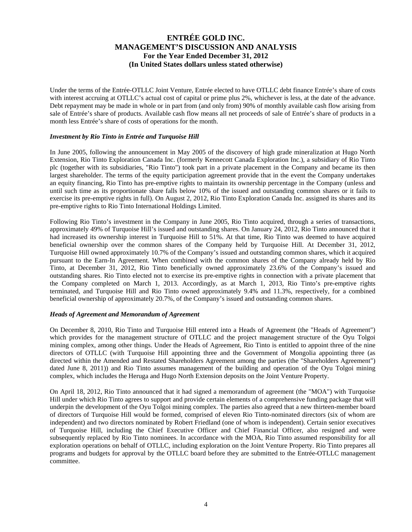Under the terms of the Entrée-OTLLC Joint Venture, Entrée elected to have OTLLC debt finance Entrée's share of costs with interest accruing at OTLLC's actual cost of capital or prime plus 2%, whichever is less, at the date of the advance. Debt repayment may be made in whole or in part from (and only from) 90% of monthly available cash flow arising from sale of Entrée's share of products. Available cash flow means all net proceeds of sale of Entrée's share of products in a month less Entrée's share of costs of operations for the month.

#### *Investment by Rio Tinto in Entrée and Turquoise Hill*

In June 2005, following the announcement in May 2005 of the discovery of high grade mineralization at Hugo North Extension, Rio Tinto Exploration Canada Inc. (formerly Kennecott Canada Exploration Inc.), a subsidiary of Rio Tinto plc (together with its subsidiaries, "Rio Tinto") took part in a private placement in the Company and became its then largest shareholder. The terms of the equity participation agreement provide that in the event the Company undertakes an equity financing, Rio Tinto has pre-emptive rights to maintain its ownership percentage in the Company (unless and until such time as its proportionate share falls below 10% of the issued and outstanding common shares or it fails to exercise its pre-emptive rights in full). On August 2, 2012, Rio Tinto Exploration Canada Inc. assigned its shares and its pre-emptive rights to Rio Tinto International Holdings Limited.

Following Rio Tinto's investment in the Company in June 2005, Rio Tinto acquired, through a series of transactions, approximately 49% of Turquoise Hill's issued and outstanding shares. On January 24, 2012, Rio Tinto announced that it had increased its ownership interest in Turquoise Hill to 51%. At that time, Rio Tinto was deemed to have acquired beneficial ownership over the common shares of the Company held by Turquoise Hill. At December 31, 2012, Turquoise Hill owned approximately 10.7% of the Company's issued and outstanding common shares, which it acquired pursuant to the Earn-In Agreement. When combined with the common shares of the Company already held by Rio Tinto, at December 31, 2012, Rio Tinto beneficially owned approximately 23.6% of the Company's issued and outstanding shares. Rio Tinto elected not to exercise its pre-emptive rights in connection with a private placement that the Company completed on March 1, 2013. Accordingly, as at March 1, 2013, Rio Tinto's pre-emptive rights terminated, and Turquoise Hill and Rio Tinto owned approximately 9.4% and 11.3%, respectively, for a combined beneficial ownership of approximately 20.7%, of the Company's issued and outstanding common shares.

#### *Heads of Agreement and Memorandum of Agreement*

On December 8, 2010, Rio Tinto and Turquoise Hill entered into a Heads of Agreement (the "Heads of Agreement") which provides for the management structure of OTLLC and the project management structure of the Oyu Tolgoi mining complex, among other things. Under the Heads of Agreement, Rio Tinto is entitled to appoint three of the nine directors of OTLLC (with Turquoise Hill appointing three and the Government of Mongolia appointing three (as directed within the Amended and Restated Shareholders Agreement among the parties (the "Shareholders Agreement") dated June 8, 2011)) and Rio Tinto assumes management of the building and operation of the Oyu Tolgoi mining complex, which includes the Heruga and Hugo North Extension deposits on the Joint Venture Property.

On April 18, 2012, Rio Tinto announced that it had signed a memorandum of agreement (the "MOA") with Turquoise Hill under which Rio Tinto agrees to support and provide certain elements of a comprehensive funding package that will underpin the development of the Oyu Tolgoi mining complex. The parties also agreed that a new thirteen-member board of directors of Turquoise Hill would be formed, comprised of eleven Rio Tinto-nominated directors (six of whom are independent) and two directors nominated by Robert Friedland (one of whom is independent). Certain senior executives of Turquoise Hill, including the Chief Executive Officer and Chief Financial Officer, also resigned and were subsequently replaced by Rio Tinto nominees. In accordance with the MOA, Rio Tinto assumed responsibility for all exploration operations on behalf of OTLLC, including exploration on the Joint Venture Property. Rio Tinto prepares all programs and budgets for approval by the OTLLC board before they are submitted to the Entrée-OTLLC management committee.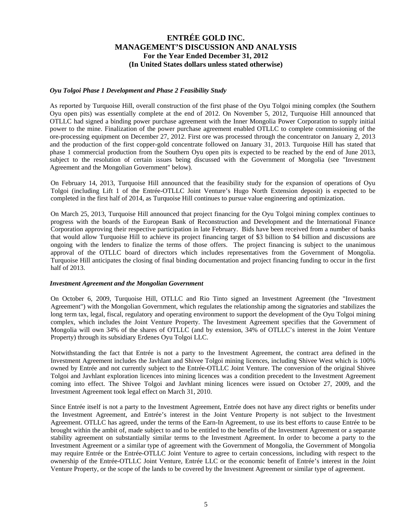#### *Oyu Tolgoi Phase 1 Development and Phase 2 Feasibility Study*

As reported by Turquoise Hill, overall construction of the first phase of the Oyu Tolgoi mining complex (the Southern Oyu open pits) was essentially complete at the end of 2012. On November 5, 2012, Turquoise Hill announced that OTLLC had signed a binding power purchase agreement with the Inner Mongolia Power Corporation to supply initial power to the mine. Finalization of the power purchase agreement enabled OTLLC to complete commissioning of the ore-processing equipment on December 27, 2012. First ore was processed through the concentrator on January 2, 2013 and the production of the first copper-gold concentrate followed on January 31, 2013. Turquoise Hill has stated that phase 1 commercial production from the Southern Oyu open pits is expected to be reached by the end of June 2013, subject to the resolution of certain issues being discussed with the Government of Mongolia (see "Investment Agreement and the Mongolian Government" below).

On February 14, 2013, Turquoise Hill announced that the feasibility study for the expansion of operations of Oyu Tolgoi (including Lift 1 of the Entrée-OTLLC Joint Venture's Hugo North Extension deposit) is expected to be completed in the first half of 2014, as Turquoise Hill continues to pursue value engineering and optimization.

On March 25, 2013, Turquoise Hill announced that project financing for the Oyu Tolgoi mining complex continues to progress with the boards of the European Bank of Reconstruction and Development and the International Finance Corporation approving their respective participation in late February. Bids have been received from a number of banks that would allow Turquoise Hill to achieve its project financing target of \$3 billion to \$4 billion and discussions are ongoing with the lenders to finalize the terms of those offers. The project financing is subject to the unanimous approval of the OTLLC board of directors which includes representatives from the Government of Mongolia. Turquoise Hill anticipates the closing of final binding documentation and project financing funding to occur in the first half of 2013.

#### *Investment Agreement and the Mongolian Government*

On October 6, 2009, Turquoise Hill, OTLLC and Rio Tinto signed an Investment Agreement (the "Investment Agreement") with the Mongolian Government, which regulates the relationship among the signatories and stabilizes the long term tax, legal, fiscal, regulatory and operating environment to support the development of the Oyu Tolgoi mining complex, which includes the Joint Venture Property. The Investment Agreement specifies that the Government of Mongolia will own 34% of the shares of OTLLC (and by extension, 34% of OTLLC's interest in the Joint Venture Property) through its subsidiary Erdenes Oyu Tolgoi LLC.

Notwithstanding the fact that Entrée is not a party to the Investment Agreement, the contract area defined in the Investment Agreement includes the Javhlant and Shivee Tolgoi mining licences, including Shivee West which is 100% owned by Entrée and not currently subject to the Entrée-OTLLC Joint Venture. The conversion of the original Shivee Tolgoi and Javhlant exploration licences into mining licences was a condition precedent to the Investment Agreement coming into effect. The Shivee Tolgoi and Javhlant mining licences were issued on October 27, 2009, and the Investment Agreement took legal effect on March 31, 2010.

Since Entrée itself is not a party to the Investment Agreement, Entrée does not have any direct rights or benefits under the Investment Agreement, and Entrée's interest in the Joint Venture Property is not subject to the Investment Agreement. OTLLC has agreed, under the terms of the Earn-In Agreement, to use its best efforts to cause Entrée to be brought within the ambit of, made subject to and to be entitled to the benefits of the Investment Agreement or a separate stability agreement on substantially similar terms to the Investment Agreement. In order to become a party to the Investment Agreement or a similar type of agreement with the Government of Mongolia, the Government of Mongolia may require Entrée or the Entrée-OTLLC Joint Venture to agree to certain concessions, including with respect to the ownership of the Entrée-OTLLC Joint Venture, Entrée LLC or the economic benefit of Entrée's interest in the Joint Venture Property, or the scope of the lands to be covered by the Investment Agreement or similar type of agreement.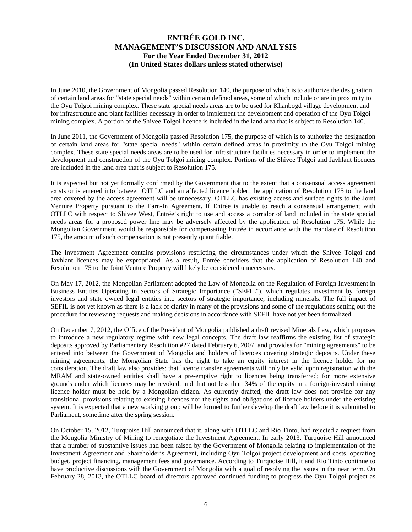In June 2010, the Government of Mongolia passed Resolution 140, the purpose of which is to authorize the designation of certain land areas for "state special needs" within certain defined areas, some of which include or are in proximity to the Oyu Tolgoi mining complex. These state special needs areas are to be used for Khanbogd village development and for infrastructure and plant facilities necessary in order to implement the development and operation of the Oyu Tolgoi mining complex. A portion of the Shivee Tolgoi licence is included in the land area that is subject to Resolution 140.

In June 2011, the Government of Mongolia passed Resolution 175, the purpose of which is to authorize the designation of certain land areas for "state special needs" within certain defined areas in proximity to the Oyu Tolgoi mining complex. These state special needs areas are to be used for infrastructure facilities necessary in order to implement the development and construction of the Oyu Tolgoi mining complex. Portions of the Shivee Tolgoi and Javhlant licences are included in the land area that is subject to Resolution 175.

It is expected but not yet formally confirmed by the Government that to the extent that a consensual access agreement exists or is entered into between OTLLC and an affected licence holder, the application of Resolution 175 to the land area covered by the access agreement will be unnecessary. OTLLC has existing access and surface rights to the Joint Venture Property pursuant to the Earn-In Agreement. If Entrée is unable to reach a consensual arrangement with OTLLC with respect to Shivee West, Entrée's right to use and access a corridor of land included in the state special needs areas for a proposed power line may be adversely affected by the application of Resolution 175. While the Mongolian Government would be responsible for compensating Entrée in accordance with the mandate of Resolution 175, the amount of such compensation is not presently quantifiable.

The Investment Agreement contains provisions restricting the circumstances under which the Shivee Tolgoi and Javhlant licences may be expropriated. As a result, Entrée considers that the application of Resolution 140 and Resolution 175 to the Joint Venture Property will likely be considered unnecessary.

On May 17, 2012, the Mongolian Parliament adopted the Law of Mongolia on the Regulation of Foreign Investment in Business Entities Operating in Sectors of Strategic Importance ("SEFIL"), which regulates investment by foreign investors and state owned legal entities into sectors of strategic importance, including minerals. The full impact of SEFIL is not yet known as there is a lack of clarity in many of the provisions and some of the regulations setting out the procedure for reviewing requests and making decisions in accordance with SEFIL have not yet been formalized.

On December 7, 2012, the Office of the President of Mongolia published a draft revised Minerals Law, which proposes to introduce a new regulatory regime with new legal concepts. The draft law reaffirms the existing list of strategic deposits approved by Parliamentary Resolution #27 dated February 6, 2007, and provides for "mining agreements" to be entered into between the Government of Mongolia and holders of licences covering strategic deposits. Under these mining agreements, the Mongolian State has the right to take an equity interest in the licence holder for no consideration. The draft law also provides: that licence transfer agreements will only be valid upon registration with the MRAM and state-owned entities shall have a pre-emptive right to licences being transferred; for more extensive grounds under which licences may be revoked; and that not less than 34% of the equity in a foreign-invested mining licence holder must be held by a Mongolian citizen. As currently drafted, the draft law does not provide for any transitional provisions relating to existing licences nor the rights and obligations of licence holders under the existing system. It is expected that a new working group will be formed to further develop the draft law before it is submitted to Parliament, sometime after the spring session.

On October 15, 2012, Turquoise Hill announced that it, along with OTLLC and Rio Tinto, had rejected a request from the Mongolia Ministry of Mining to renegotiate the Investment Agreement. In early 2013, Turquoise Hill announced that a number of substantive issues had been raised by the Government of Mongolia relating to implementation of the Investment Agreement and Shareholder's Agreement, including Oyu Tolgoi project development and costs, operating budget, project financing, management fees and governance. According to Turquoise Hill, it and Rio Tinto continue to have productive discussions with the Government of Mongolia with a goal of resolving the issues in the near term. On February 28, 2013, the OTLLC board of directors approved continued funding to progress the Oyu Tolgoi project as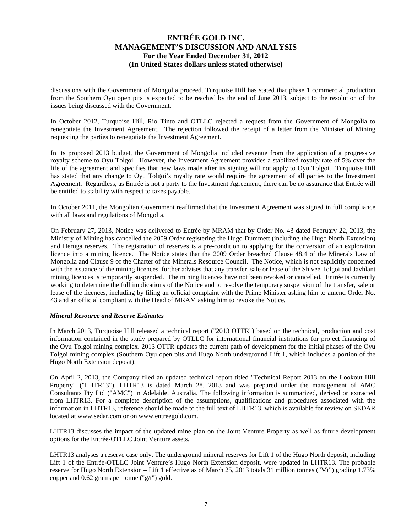discussions with the Government of Mongolia proceed. Turquoise Hill has stated that phase 1 commercial production from the Southern Oyu open pits is expected to be reached by the end of June 2013, subject to the resolution of the issues being discussed with the Government.

In October 2012, Turquoise Hill, Rio Tinto and OTLLC rejected a request from the Government of Mongolia to renegotiate the Investment Agreement. The rejection followed the receipt of a letter from the Minister of Mining requesting the parties to renegotiate the Investment Agreement.

In its proposed 2013 budget, the Government of Mongolia included revenue from the application of a progressive royalty scheme to Oyu Tolgoi. However, the Investment Agreement provides a stabilized royalty rate of 5% over the life of the agreement and specifies that new laws made after its signing will not apply to Oyu Tolgoi. Turquoise Hill has stated that any change to Oyu Tolgoi's royalty rate would require the agreement of all parties to the Investment Agreement. Regardless, as Entrée is not a party to the Investment Agreement, there can be no assurance that Entrée will be entitled to stability with respect to taxes payable.

In October 2011, the Mongolian Government reaffirmed that the Investment Agreement was signed in full compliance with all laws and regulations of Mongolia.

On February 27, 2013, Notice was delivered to Entrée by MRAM that by Order No. 43 dated February 22, 2013, the Ministry of Mining has cancelled the 2009 Order registering the Hugo Dummett (including the Hugo North Extension) and Heruga reserves. The registration of reserves is a pre-condition to applying for the conversion of an exploration licence into a mining licence. The Notice states that the 2009 Order breached Clause 48.4 of the Minerals Law of Mongolia and Clause 9 of the Charter of the Minerals Resource Council. The Notice, which is not explicitly concerned with the issuance of the mining licences, further advises that any transfer, sale or lease of the Shivee Tolgoi and Javhlant mining licences is temporarily suspended. The mining licences have not been revoked or cancelled. Entrée is currently working to determine the full implications of the Notice and to resolve the temporary suspension of the transfer, sale or lease of the licences, including by filing an official complaint with the Prime Minister asking him to amend Order No. 43 and an official compliant with the Head of MRAM asking him to revoke the Notice.

#### *Mineral Resource and Reserve Estimates*

In March 2013, Turquoise Hill released a technical report ("2013 OTTR") based on the technical, production and cost information contained in the study prepared by OTLLC for international financial institutions for project financing of the Oyu Tolgoi mining complex. 2013 OTTR updates the current path of development for the initial phases of the Oyu Tolgoi mining complex (Southern Oyu open pits and Hugo North underground Lift 1, which includes a portion of the Hugo North Extension deposit).

On April 2, 2013, the Company filed an updated technical report titled "Technical Report 2013 on the Lookout Hill Property" ("LHTR13"). LHTR13 is dated March 28, 2013 and was prepared under the management of AMC Consultants Pty Ltd ("AMC") in Adelaide, Australia. The following information is summarized, derived or extracted from LHTR13. For a complete description of the assumptions, qualifications and procedures associated with the information in LHTR13, reference should be made to the full text of LHTR13, which is available for review on SEDAR located at www.sedar.com or on www.entreegold.com.

LHTR13 discusses the impact of the updated mine plan on the Joint Venture Property as well as future development options for the Entrée-OTLLC Joint Venture assets.

LHTR13 analyses a reserve case only. The underground mineral reserves for Lift 1 of the Hugo North deposit, including Lift 1 of the Entrée-OTLLC Joint Venture's Hugo North Extension deposit, were updated in LHTR13. The probable reserve for Hugo North Extension – Lift 1 effective as of March 25, 2013 totals 31 million tonnes ("Mt") grading 1.73% copper and 0.62 grams per tonne ("g/t") gold.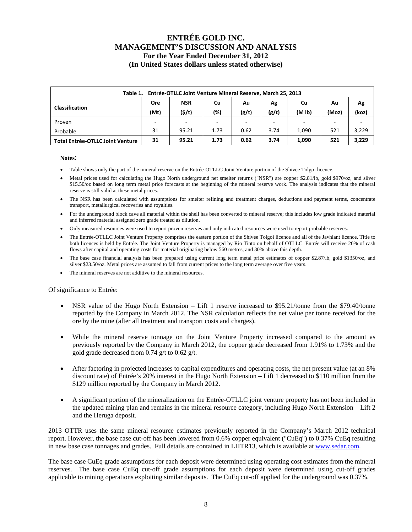| Entrée-OTLLC Joint Venture Mineral Reserve, March 25, 2013<br>Table 1. |                          |            |                          |                |      |                             |     |       |  |  |
|------------------------------------------------------------------------|--------------------------|------------|--------------------------|----------------|------|-----------------------------|-----|-------|--|--|
|                                                                        | Ore                      | <b>NSR</b> | Cu                       | Au             | Ag   | Cu                          | Au  | Ag    |  |  |
| <b>Classification</b>                                                  | (Mt)                     | (5/t)      | (%)                      | (g/t)<br>(g/t) |      | (M <sub>1b</sub> )<br>(Moz) |     | (koz) |  |  |
| Proven                                                                 | $\overline{\phantom{0}}$ |            | $\overline{\phantom{a}}$ | -              |      |                             |     |       |  |  |
| Probable                                                               | 31                       | 95.21      | 1.73                     | 0.62           | 3.74 | 1.090                       | 521 | 3,229 |  |  |
| <b>Total Entrée-OTLLC Joint Venture</b>                                | 31                       | 95.21      | 1.73                     | 0.62           | 3.74 | 1,090                       | 521 | 3,229 |  |  |

#### **Notes**:

- Table shows only the part of the mineral reserve on the Entrée-OTLLC Joint Venture portion of the Shivee Tolgoi licence.
- Metal prices used for calculating the Hugo North underground net smelter returns ("NSR") are copper \$2.81/lb, gold \$970/oz, and silver \$15.50/oz based on long term metal price forecasts at the beginning of the mineral reserve work. The analysis indicates that the mineral reserve is still valid at these metal prices.
- The NSR has been calculated with assumptions for smelter refining and treatment charges, deductions and payment terms, concentrate transport, metallurgical recoveries and royalties.
- For the underground block cave all material within the shell has been converted to mineral reserve; this includes low grade indicated material and inferred material assigned zero grade treated as dilution.
- Only measured resources were used to report proven reserves and only indicated resources were used to report probable reserves.
- The Entrée-OTLLC Joint Venture Property comprises the eastern portion of the Shivee Tolgoi licence and all of the Javhlant licence. Title to both licences is held by Entrée. The Joint Venture Property is managed by Rio Tinto on behalf of OTLLC. Entrée will receive 20% of cash flows after capital and operating costs for material originating below 560 metres, and 30% above this depth.
- The base case financial analysis has been prepared using current long term metal price estimates of copper \$2.87/lb, gold \$1350/oz, and silver \$23.50/oz. Metal prices are assumed to fall from current prices to the long term average over five years.
- The mineral reserves are not additive to the mineral resources.

#### Of significance to Entrée:

- NSR value of the Hugo North Extension Lift 1 reserve increased to \$95.21/tonne from the \$79.40/tonne reported by the Company in March 2012. The NSR calculation reflects the net value per tonne received for the ore by the mine (after all treatment and transport costs and charges).
- While the mineral reserve tonnage on the Joint Venture Property increased compared to the amount as previously reported by the Company in March 2012, the copper grade decreased from 1.91% to 1.73% and the gold grade decreased from 0.74 g/t to 0.62 g/t.
- After factoring in projected increases to capital expenditures and operating costs, the net present value (at an 8% discount rate) of Entrée's 20% interest in the Hugo North Extension – Lift 1 decreased to \$110 million from the \$129 million reported by the Company in March 2012.
- A significant portion of the mineralization on the Entrée-OTLLC joint venture property has not been included in the updated mining plan and remains in the mineral resource category, including Hugo North Extension – Lift 2 and the Heruga deposit.

2013 OTTR uses the same mineral resource estimates previously reported in the Company's March 2012 technical report. However, the base case cut-off has been lowered from 0.6% copper equivalent ("CuEq") to 0.37% CuEq resulting in new base case tonnages and grades. Full details are contained in LHTR13, which is available at www.sedar.com.

The base case CuEq grade assumptions for each deposit were determined using operating cost estimates from the mineral reserves. The base case CuEq cut-off grade assumptions for each deposit were determined using cut-off grades applicable to mining operations exploiting similar deposits. The CuEq cut-off applied for the underground was 0.37%.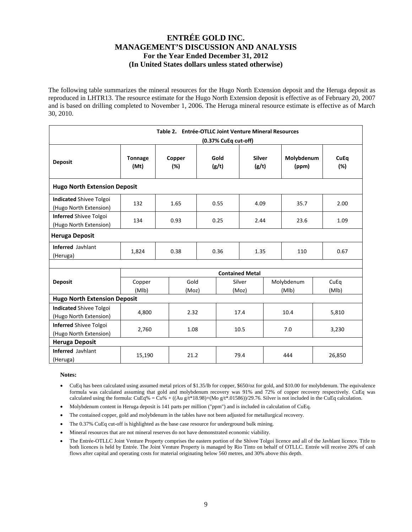The following table summarizes the mineral resources for the Hugo North Extension deposit and the Heruga deposit as reproduced in LHTR13. The resource estimate for the Hugo North Extension deposit is effective as of February 20, 2007 and is based on drilling completed to November 1, 2006. The Heruga mineral resource estimate is effective as of March 30, 2010.

|                                                          | Table 2. Entrée-OTLLC Joint Venture Mineral Resources<br>(0.37% CuEq cut-off) |                  |               |               |                        |             |                     |  |                    |  |  |  |
|----------------------------------------------------------|-------------------------------------------------------------------------------|------------------|---------------|---------------|------------------------|-------------|---------------------|--|--------------------|--|--|--|
| <b>Deposit</b>                                           | <b>Tonnage</b><br>(Mt)                                                        | Copper<br>$(\%)$ |               | Gold<br>(g/t) | <b>Silver</b><br>(g/t) |             | Molybdenum<br>(ppm) |  | <b>CuEq</b><br>(%) |  |  |  |
| <b>Hugo North Extension Deposit</b>                      |                                                                               |                  |               |               |                        |             |                     |  |                    |  |  |  |
| <b>Indicated Shivee Tolgoi</b><br>(Hugo North Extension) | 132                                                                           | 1.65             |               | 0.55          | 4.09                   |             | 35.7                |  | 2.00               |  |  |  |
| <b>Inferred Shivee Tolgoi</b><br>(Hugo North Extension)  | 134                                                                           | 0.93             |               | 0.25          | 2.44                   |             | 23.6                |  | 1.09               |  |  |  |
| <b>Heruga Deposit</b>                                    |                                                                               |                  |               |               |                        |             |                     |  |                    |  |  |  |
| <b>Inferred Javhlant</b><br>(Heruga)                     | 1,824                                                                         | 0.38             |               | 0.36          |                        | 1.35        |                     |  | 0.67               |  |  |  |
|                                                          |                                                                               |                  |               |               |                        |             |                     |  |                    |  |  |  |
|                                                          |                                                                               |                  |               |               | <b>Contained Metal</b> |             |                     |  |                    |  |  |  |
| <b>Deposit</b>                                           | Copper<br>(MIb)                                                               |                  | Gold<br>(Moz) |               | Silver<br>(Moz)        |             | Molybdenum<br>(MIb) |  | CuEq<br>(MIb)      |  |  |  |
| <b>Hugo North Extension Deposit</b>                      |                                                                               |                  |               |               |                        |             |                     |  |                    |  |  |  |
| <b>Indicated Shivee Tolgoi</b><br>(Hugo North Extension) | 4,800                                                                         |                  | 2.32          |               | 17.4                   |             | 10.4                |  | 5,810              |  |  |  |
| <b>Inferred Shivee Tolgoi</b><br>(Hugo North Extension)  | 2,760                                                                         |                  | 1.08          |               | 10.5                   |             | 7.0                 |  | 3,230              |  |  |  |
| <b>Heruga Deposit</b>                                    |                                                                               |                  |               |               |                        |             |                     |  |                    |  |  |  |
| <b>Inferred Javhlant</b><br>(Heruga)                     | 15,190                                                                        |                  | 21.2          |               |                        | 79.4<br>444 |                     |  | 26,850             |  |  |  |

**Notes:** 

- CuEq has been calculated using assumed metal prices of \$1.35/lb for copper, \$650/oz for gold, and \$10.00 for molybdenum. The equivalence formula was calculated assuming that gold and molybdenum recovery was 91% and 72% of copper recovery respectively. CuEq was calculated using the formula:  $CuEq\% = Cu\% + ((Au g/t*18.98)+(Mo g/t*01586))/29.76$ . Silver is not included in the CuEq calculation.
- Molybdenum content in Heruga deposit is 141 parts per million ("ppm") and is included in calculation of CuEq.
- The contained copper, gold and molybdenum in the tables have not been adjusted for metallurgical recovery.
- The 0.37% CuEq cut-off is highlighted as the base case resource for underground bulk mining.
- Mineral resources that are not mineral reserves do not have demonstrated economic viability.
- The Entrée-OTLLC Joint Venture Property comprises the eastern portion of the Shivee Tolgoi licence and all of the Javhlant licence. Title to both licences is held by Entrée. The Joint Venture Property is managed by Rio Tinto on behalf of OTLLC. Entrée will receive 20% of cash flows after capital and operating costs for material originating below 560 metres, and 30% above this depth.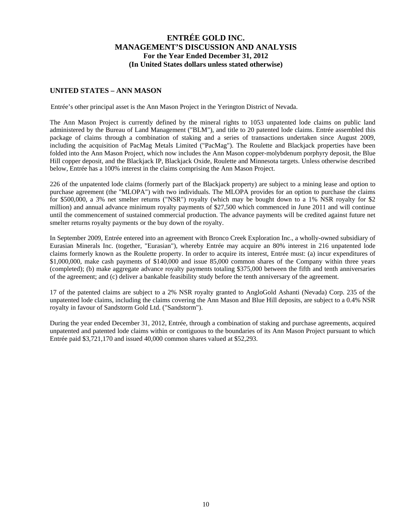### **UNITED STATES – ANN MASON**

Entrée's other principal asset is the Ann Mason Project in the Yerington District of Nevada.

The Ann Mason Project is currently defined by the mineral rights to 1053 unpatented lode claims on public land administered by the Bureau of Land Management ("BLM"), and title to 20 patented lode claims. Entrée assembled this package of claims through a combination of staking and a series of transactions undertaken since August 2009, including the acquisition of PacMag Metals Limited ("PacMag"). The Roulette and Blackjack properties have been folded into the Ann Mason Project, which now includes the Ann Mason copper-molybdenum porphyry deposit, the Blue Hill copper deposit, and the Blackjack IP, Blackjack Oxide, Roulette and Minnesota targets. Unless otherwise described below, Entrée has a 100% interest in the claims comprising the Ann Mason Project.

226 of the unpatented lode claims (formerly part of the Blackjack property) are subject to a mining lease and option to purchase agreement (the "MLOPA") with two individuals. The MLOPA provides for an option to purchase the claims for \$500,000, a 3% net smelter returns ("NSR") royalty (which may be bought down to a 1% NSR royalty for \$2 million) and annual advance minimum royalty payments of \$27,500 which commenced in June 2011 and will continue until the commencement of sustained commercial production. The advance payments will be credited against future net smelter returns royalty payments or the buy down of the royalty.

In September 2009, Entrée entered into an agreement with Bronco Creek Exploration Inc., a wholly-owned subsidiary of Eurasian Minerals Inc. (together, "Eurasian"), whereby Entrée may acquire an 80% interest in 216 unpatented lode claims formerly known as the Roulette property. In order to acquire its interest, Entrée must: (a) incur expenditures of \$1,000,000, make cash payments of \$140,000 and issue 85,000 common shares of the Company within three years (completed); (b) make aggregate advance royalty payments totaling \$375,000 between the fifth and tenth anniversaries of the agreement; and (c) deliver a bankable feasibility study before the tenth anniversary of the agreement.

17 of the patented claims are subject to a 2% NSR royalty granted to AngloGold Ashanti (Nevada) Corp. 235 of the unpatented lode claims, including the claims covering the Ann Mason and Blue Hill deposits, are subject to a 0.4% NSR royalty in favour of Sandstorm Gold Ltd. ("Sandstorm").

During the year ended December 31, 2012, Entrée, through a combination of staking and purchase agreements, acquired unpatented and patented lode claims within or contiguous to the boundaries of its Ann Mason Project pursuant to which Entrée paid \$3,721,170 and issued 40,000 common shares valued at \$52,293.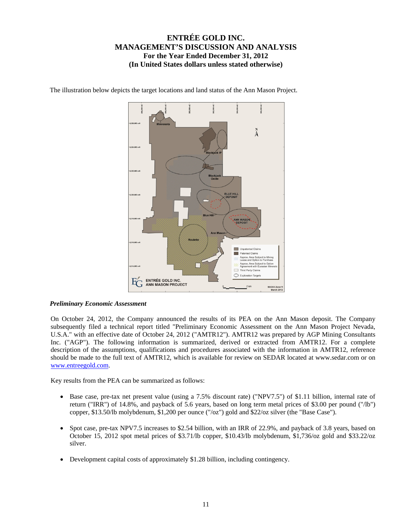

The illustration below depicts the target locations and land status of the Ann Mason Project.

#### *Preliminary Economic Assessment*

On October 24, 2012, the Company announced the results of its PEA on the Ann Mason deposit. The Company subsequently filed a technical report titled "Preliminary Economic Assessment on the Ann Mason Project Nevada, U.S.A." with an effective date of October 24, 2012 ("AMTR12"). AMTR12 was prepared by AGP Mining Consultants Inc. ("AGP"). The following information is summarized, derived or extracted from AMTR12. For a complete description of the assumptions, qualifications and procedures associated with the information in AMTR12, reference should be made to the full text of AMTR12, which is available for review on SEDAR located at www.sedar.com or on www.entreegold.com.

Key results from the PEA can be summarized as follows:

- Base case, pre-tax net present value (using a 7.5% discount rate) ("NPV7.5") of \$1.11 billion, internal rate of return ("IRR") of 14.8%, and payback of 5.6 years, based on long term metal prices of \$3.00 per pound ("/lb") copper, \$13.50/lb molybdenum, \$1,200 per ounce ("/oz") gold and \$22/oz silver (the "Base Case").
- Spot case, pre-tax NPV7.5 increases to \$2.54 billion, with an IRR of 22.9%, and payback of 3.8 years, based on October 15, 2012 spot metal prices of \$3.71/lb copper, \$10.43/lb molybdenum, \$1,736/oz gold and \$33.22/oz silver.
- Development capital costs of approximately \$1.28 billion, including contingency.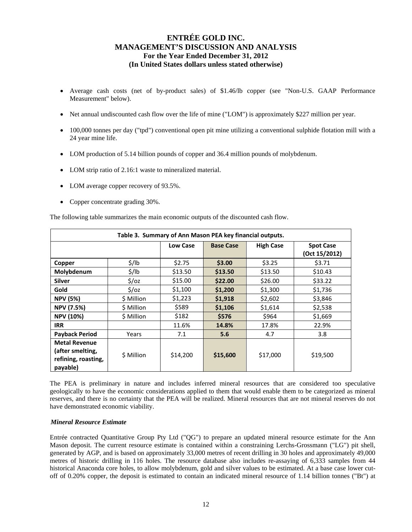- Average cash costs (net of by-product sales) of \$1.46/lb copper (see "Non-U.S. GAAP Performance Measurement" below).
- Net annual undiscounted cash flow over the life of mine ("LOM") is approximately \$227 million per year.
- 100,000 tonnes per day ("tpd") conventional open pit mine utilizing a conventional sulphide flotation mill with a 24 year mine life.
- LOM production of 5.14 billion pounds of copper and 36.4 million pounds of molybdenum.
- LOM strip ratio of 2.16:1 waste to mineralized material.
- LOM average copper recovery of 93.5%.
- Copper concentrate grading 30%.

The following table summarizes the main economic outputs of the discounted cash flow.

|                                                                             |                   |                 | Table 3. Summary of Ann Mason PEA key financial outputs. |                  |                                   |
|-----------------------------------------------------------------------------|-------------------|-----------------|----------------------------------------------------------|------------------|-----------------------------------|
|                                                                             |                   | <b>Low Case</b> | <b>Base Case</b>                                         | <b>High Case</b> | <b>Spot Case</b><br>(Oct 15/2012) |
| Copper                                                                      | $\frac{1}{2}$ /lb | \$2.75          | \$3.00                                                   | \$3.25           | \$3.71                            |
| Molybdenum                                                                  | $\frac{1}{2}$ /lb | \$13.50         | \$13.50                                                  | \$13.50          | \$10.43                           |
| <b>Silver</b>                                                               | $\frac{2}{3}$ /0z | \$15.00         | \$22.00                                                  | \$26.00          | \$33.22                           |
| Gold                                                                        | $\frac{2}{3}$ /0z | \$1,100         | \$1,200                                                  | \$1,300          | \$1,736                           |
| <b>NPV (5%)</b>                                                             | \$ Million        | \$1,223         | \$1,918                                                  | \$2,602          | \$3,846                           |
| <b>NPV (7.5%)</b>                                                           | \$ Million        | \$589           | \$1,106                                                  | \$1,614          | \$2,538                           |
| <b>NPV (10%)</b>                                                            | \$ Million        | \$182           | \$576                                                    | \$964            | \$1,669                           |
| <b>IRR</b>                                                                  |                   | 11.6%           | 14.8%                                                    | 17.8%            | 22.9%                             |
| <b>Payback Period</b>                                                       | Years             | 7.1             | 5.6                                                      | 4.7              | 3.8                               |
| <b>Metal Revenue</b><br>(after smelting,<br>refining, roasting,<br>payable) | \$ Million        | \$14,200        | \$15,600                                                 | \$17,000         | \$19,500                          |

The PEA is preliminary in nature and includes inferred mineral resources that are considered too speculative geologically to have the economic considerations applied to them that would enable them to be categorized as mineral reserves, and there is no certainty that the PEA will be realized. Mineral resources that are not mineral reserves do not have demonstrated economic viability.

#### *Mineral Resource Estimate*

Entrée contracted Quantitative Group Pty Ltd ("QG") to prepare an updated mineral resource estimate for the Ann Mason deposit. The current resource estimate is contained within a constraining Lerchs-Grossmann ("LG") pit shell, generated by AGP, and is based on approximately 33,000 metres of recent drilling in 30 holes and approximately 49,000 metres of historic drilling in 116 holes. The resource database also includes re-assaying of 6,333 samples from 44 historical Anaconda core holes, to allow molybdenum, gold and silver values to be estimated. At a base case lower cutoff of 0.20% copper, the deposit is estimated to contain an indicated mineral resource of 1.14 billion tonnes ("Bt") at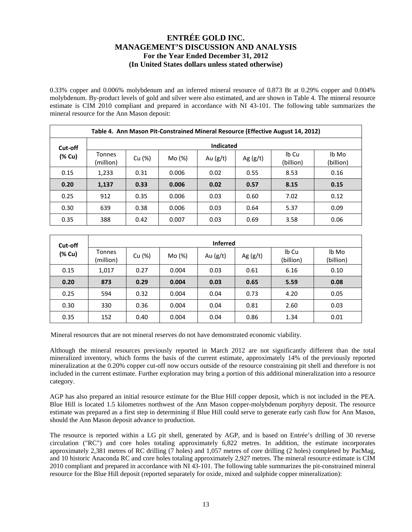0.33% copper and 0.006% molybdenum and an inferred mineral resource of 0.873 Bt at 0.29% copper and 0.004% molybdenum. By-product levels of gold and silver were also estimated, and are shown in Table 4. The mineral resource estimate is CIM 2010 compliant and prepared in accordance with NI 43-101. The following table summarizes the mineral resource for the Ann Mason deposit:

|         | Table 4. Ann Mason Pit-Constrained Mineral Resource (Effective August 14, 2012) |        |        |                  |            |                    |                    |  |  |  |  |  |
|---------|---------------------------------------------------------------------------------|--------|--------|------------------|------------|--------------------|--------------------|--|--|--|--|--|
| Cut-off |                                                                                 |        |        | <b>Indicated</b> |            |                    |                    |  |  |  |  |  |
| (% Cu)  | <b>Tonnes</b><br>(million)                                                      | Cu (%) | Mo (%) | Au $(g/t)$       | Ag $(g/t)$ | Ib Cu<br>(billion) | lb Mo<br>(billion) |  |  |  |  |  |
| 0.15    | 1,233                                                                           | 0.31   | 0.006  | 0.02             | 0.55       | 8.53               | 0.16               |  |  |  |  |  |
| 0.20    | 1,137                                                                           | 0.33   | 0.006  | 0.02             | 0.57       | 8.15               | 0.15               |  |  |  |  |  |
| 0.25    | 912                                                                             | 0.35   | 0.006  | 0.03             | 0.60       | 7.02               | 0.12               |  |  |  |  |  |
| 0.30    | 639                                                                             | 0.38   | 0.006  | 0.03             | 0.64       | 5.37               | 0.09               |  |  |  |  |  |
| 0.35    | 388                                                                             | 0.42   | 0.007  | 0.03             | 0.69       | 3.58               | 0.06               |  |  |  |  |  |

| Cut-off | <b>Inferred</b>            |        |                      |      |            |                    |                    |  |  |  |  |  |
|---------|----------------------------|--------|----------------------|------|------------|--------------------|--------------------|--|--|--|--|--|
| (% Cu)  | <b>Tonnes</b><br>(million) | Cu (%) | Mo (%)<br>Au $(g/t)$ |      | Ag $(g/t)$ | Ib Cu<br>(billion) | lb Mo<br>(billion) |  |  |  |  |  |
| 0.15    | 1,017                      | 0.27   | 0.004                | 0.03 | 0.61       | 6.16               | 0.10               |  |  |  |  |  |
| 0.20    | 873                        | 0.29   | 0.004                | 0.03 | 0.65       | 5.59               | 0.08               |  |  |  |  |  |
| 0.25    | 594                        | 0.32   | 0.004                | 0.04 | 0.73       | 4.20               | 0.05               |  |  |  |  |  |
| 0.30    | 330                        | 0.36   | 0.004                | 0.04 | 0.81       | 2.60               | 0.03               |  |  |  |  |  |
| 0.35    | 152                        | 0.40   | 0.004                | 0.04 | 0.86       | 1.34               | 0.01               |  |  |  |  |  |

Mineral resources that are not mineral reserves do not have demonstrated economic viability.

Although the mineral resources previously reported in March 2012 are not significantly different than the total mineralized inventory, which forms the basis of the current estimate, approximately 14% of the previously reported mineralization at the 0.20% copper cut-off now occurs outside of the resource constraining pit shell and therefore is not included in the current estimate. Further exploration may bring a portion of this additional mineralization into a resource category.

AGP has also prepared an initial resource estimate for the Blue Hill copper deposit, which is not included in the PEA. Blue Hill is located 1.5 kilometres northwest of the Ann Mason copper-molybdenum porphyry deposit. The resource estimate was prepared as a first step in determining if Blue Hill could serve to generate early cash flow for Ann Mason, should the Ann Mason deposit advance to production.

The resource is reported within a LG pit shell, generated by AGP, and is based on Entrée's drilling of 30 reverse circulation ("RC") and core holes totaling approximately 6,822 metres. In addition, the estimate incorporates approximately 2,381 metres of RC drilling (7 holes) and 1,057 metres of core drilling (2 holes) completed by PacMag, and 10 historic Anaconda RC and core holes totaling approximately 2,927 metres. The mineral resource estimate is CIM 2010 compliant and prepared in accordance with NI 43-101. The following table summarizes the pit-constrained mineral resource for the Blue Hill deposit (reported separately for oxide, mixed and sulphide copper mineralization):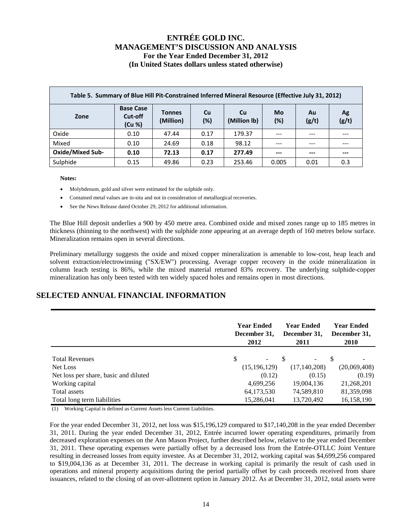| Table 5. Summary of Blue Hill Pit-Constrained Inferred Mineral Resource (Effective July 31, 2012) |                                       |                            |           |                    |           |             |             |  |  |  |  |
|---------------------------------------------------------------------------------------------------|---------------------------------------|----------------------------|-----------|--------------------|-----------|-------------|-------------|--|--|--|--|
| Zone                                                                                              | <b>Base Case</b><br>Cut-off<br>(Cu %) | <b>Tonnes</b><br>(Million) | Cu<br>(%) | Cu<br>(Million lb) | Mo<br>(%) | Au<br>(g/t) | Ag<br>(g/t) |  |  |  |  |
| Oxide                                                                                             | 0.10                                  | 47.44                      | 0.17      | 179.37             | $---$     | $---$       |             |  |  |  |  |
| Mixed                                                                                             | 0.10                                  | 24.69                      | 0.18      | 98.12              | $---$     | ---         | $- - -$     |  |  |  |  |
| <b>Oxide/Mixed Sub-</b>                                                                           | 0.10                                  | 72.13                      | 0.17      | 277.49             | $---$     | $---$       | ---         |  |  |  |  |
| Sulphide                                                                                          | 0.15                                  | 49.86                      | 0.23      | 253.46             | 0.005     | 0.01        | 0.3         |  |  |  |  |

#### **Notes:**

- Molybdenum, gold and silver were estimated for the sulphide only.
- Contained metal values are in-situ and not in consideration of metallurgical recoveries.
- See the News Release dated October 29, 2012 for additional information.

The Blue Hill deposit underlies a 900 by 450 metre area. Combined oxide and mixed zones range up to 185 metres in thickness (thinning to the northwest) with the sulphide zone appearing at an average depth of 160 metres below surface. Mineralization remains open in several directions.

Preliminary metallurgy suggests the oxide and mixed copper mineralization is amenable to low-cost, heap leach and solvent extraction/electrowinning ("SX/EW") processing. Average copper recovery in the oxide mineralization in column leach testing is 86%, while the mixed material returned 83% recovery. The underlying sulphide-copper mineralization has only been tested with ten widely spaced holes and remains open in most directions.

## **SELECTED ANNUAL FINANCIAL INFORMATION**

|                                       | <b>Year Ended</b><br>December 31,<br>2012 | Year Ended<br>December 31,<br>2011 | <b>Year Ended</b><br>December 31,<br><b>2010</b> |
|---------------------------------------|-------------------------------------------|------------------------------------|--------------------------------------------------|
| <b>Total Revenues</b>                 | \$                                        |                                    |                                                  |
| Net Loss                              | (15, 196, 129)                            | (17, 140, 208)                     | (20,069,408)                                     |
| Net loss per share, basic and diluted | (0.12)                                    | (0.15)                             | (0.19)                                           |
| Working capital                       | 4,699,256                                 | 19,004,136                         | 21,268,201                                       |
| Total assets                          | 64,173,530                                | 74,589,810                         | 81,359,098                                       |
| Total long term liabilities           | 15,286,041                                | 13,720,492                         | 16,158,190                                       |

(1) Working Capital is defined as Current Assets less Current Liabilities.

For the year ended December 31, 2012, net loss was \$15,196,129 compared to \$17,140,208 in the year ended December 31, 2011. During the year ended December 31, 2012, Entrée incurred lower operating expenditures, primarily from decreased exploration expenses on the Ann Mason Project, further described below, relative to the year ended December 31, 2011. These operating expenses were partially offset by a decreased loss from the Entrée-OTLLC Joint Venture resulting in decreased losses from equity investee. As at December 31, 2012, working capital was \$4,699,256 compared to \$19,004,136 as at December 31, 2011. The decrease in working capital is primarily the result of cash used in operations and mineral property acquisitions during the period partially offset by cash proceeds received from share issuances, related to the closing of an over-allotment option in January 2012. As at December 31, 2012, total assets were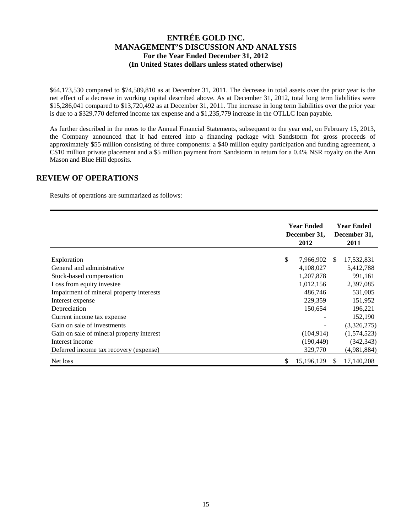\$64,173,530 compared to \$74,589,810 as at December 31, 2011. The decrease in total assets over the prior year is the net effect of a decrease in working capital described above. As at December 31, 2012, total long term liabilities were \$15,286,041 compared to \$13,720,492 as at December 31, 2011. The increase in long term liabilities over the prior year is due to a \$329,770 deferred income tax expense and a \$1,235,779 increase in the OTLLC loan payable.

As further described in the notes to the Annual Financial Statements, subsequent to the year end, on February 15, 2013, the Company announced that it had entered into a financing package with Sandstorm for gross proceeds of approximately \$55 million consisting of three components: a \$40 million equity participation and funding agreement, a C\$10 million private placement and a \$5 million payment from Sandstorm in return for a 0.4% NSR royalty on the Ann Mason and Blue Hill deposits.

### **REVIEW OF OPERATIONS**

Results of operations are summarized as follows:

|                                           |              | <b>Year Ended</b><br>December 31,<br>2012 |     |             |
|-------------------------------------------|--------------|-------------------------------------------|-----|-------------|
|                                           | $\mathbb{S}$ | 7,966,902                                 | -SS | 17,532,831  |
| Exploration<br>General and administrative |              | 4,108,027                                 |     | 5,412,788   |
|                                           |              |                                           |     |             |
| Stock-based compensation                  |              | 1,207,878                                 |     | 991,161     |
| Loss from equity investee                 |              | 1,012,156                                 |     | 2,397,085   |
| Impairment of mineral property interests  |              | 486,746                                   |     | 531,005     |
| Interest expense                          |              | 229,359                                   |     | 151,952     |
| Depreciation                              |              | 150,654                                   |     | 196,221     |
| Current income tax expense                |              |                                           |     | 152,190     |
| Gain on sale of investments               |              |                                           |     | (3,326,275) |
| Gain on sale of mineral property interest |              | (104, 914)                                |     | (1,574,523) |
| Interest income                           |              | (190, 449)                                |     | (342, 343)  |
| Deferred income tax recovery (expense)    |              | 329,770                                   |     | (4,981,884) |
| Net loss                                  | \$           | 15,196,129                                | \$. | 17,140,208  |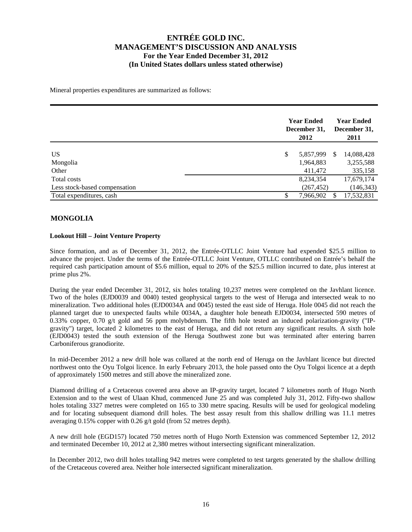Mineral properties expenditures are summarized as follows:

|                                                           | <b>Year Ended</b><br>December 31,<br>2012 | <b>Year Ended</b><br>December 31,<br>2011 |  |  |
|-----------------------------------------------------------|-------------------------------------------|-------------------------------------------|--|--|
| <b>US</b><br>Mongolia                                     | \$<br>5,857,999<br>1,964,883              | 14,088,428<br>-S<br>3,255,588             |  |  |
| Other<br>Total costs                                      | 411,472<br>8,234,354                      | 335,158<br>17,679,174                     |  |  |
| Less stock-based compensation<br>Total expenditures, cash | (267, 452)<br>7,966,902<br>\$             | (146, 343)<br>17,532,831                  |  |  |

### **MONGOLIA**

#### **Lookout Hill – Joint Venture Property**

Since formation, and as of December 31, 2012, the Entrée-OTLLC Joint Venture had expended \$25.5 million to advance the project. Under the terms of the Entrée-OTLLC Joint Venture, OTLLC contributed on Entrée's behalf the required cash participation amount of \$5.6 million, equal to 20% of the \$25.5 million incurred to date, plus interest at prime plus 2%.

During the year ended December 31, 2012, six holes totaling 10,237 metres were completed on the Javhlant licence. Two of the holes (EJD0039 and 0040) tested geophysical targets to the west of Heruga and intersected weak to no mineralization. Two additional holes (EJD0034A and 0045) tested the east side of Heruga. Hole 0045 did not reach the planned target due to unexpected faults while 0034A, a daughter hole beneath EJD0034, intersected 590 metres of 0.33% copper, 0.70 g/t gold and 56 ppm molybdenum. The fifth hole tested an induced polarization-gravity ("IPgravity") target, located 2 kilometres to the east of Heruga, and did not return any significant results. A sixth hole (EJD0043) tested the south extension of the Heruga Southwest zone but was terminated after entering barren Carboniferous granodiorite.

In mid-December 2012 a new drill hole was collared at the north end of Heruga on the Javhlant licence but directed northwest onto the Oyu Tolgoi licence. In early February 2013, the hole passed onto the Oyu Tolgoi licence at a depth of approximately 1500 metres and still above the mineralized zone.

Diamond drilling of a Cretaceous covered area above an IP-gravity target, located 7 kilometres north of Hugo North Extension and to the west of Ulaan Khud, commenced June 25 and was completed July 31, 2012. Fifty-two shallow holes totaling 3327 metres were completed on 165 to 330 metre spacing. Results will be used for geological modeling and for locating subsequent diamond drill holes. The best assay result from this shallow drilling was 11.1 metres averaging 0.15% copper with 0.26 g/t gold (from 52 metres depth).

A new drill hole (EGD157) located 750 metres north of Hugo North Extension was commenced September 12, 2012 and terminated December 10, 2012 at 2,380 metres without intersecting significant mineralization.

In December 2012, two drill holes totalling 942 metres were completed to test targets generated by the shallow drilling of the Cretaceous covered area. Neither hole intersected significant mineralization.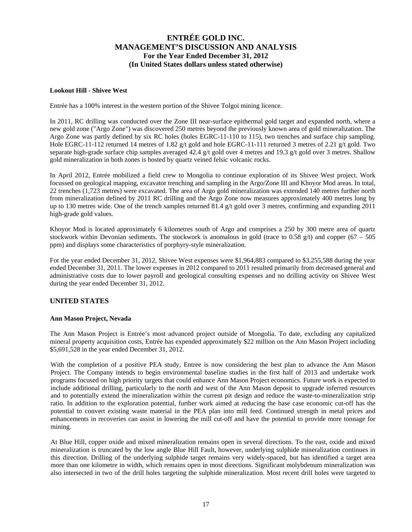#### **Lookout Hill - Shivee West**

Entrée has a 100% interest in the western portion of the Shivee Tolgoi mining licence.

In 2011, RC drilling was conducted over the Zone III near-surface epithermal gold target and expanded north, where a new gold zone ("Argo Zone") was discovered 250 metres beyond the previously known area of gold mineralization. The Argo Zone was partly defined by six RC holes (holes EGRC-11-110 to 115), two trenches and surface chip sampling. Hole EGRC-11-112 returned 14 metres of 1.82 g/t gold and hole EGRC-11-111 returned 3 metres of 2.21 g/t gold. Two separate high-grade surface chip samples averaged 42.4 g/t gold over 4 metres and 19.3 g/t gold over 3 metres. Shallow gold mineralization in both zones is hosted by quartz veined felsic volcanic rocks.

In April 2012, Entrée mobilized a field crew to Mongolia to continue exploration of its Shivee West project. Work focussed on geological mapping, excavator trenching and sampling in the Argo/Zone III and Khoyor Mod areas. In total, 22 trenches (1,723 metres) were excavated. The area of Argo gold mineralization was extended 140 metres further north from mineralization defined by 2011 RC drilling and the Argo Zone now measures approximately 400 metres long by up to 130 metres wide. One of the trench samples returned 81.4  $g/t$  gold over 3 metres, confirming and expanding 2011 high-grade gold values.

Khoyor Mod is located approximately 6 kilometres south of Argo and comprises a 250 by 300 metre area of quartz stockwork within Devonian sediments. The stockwork is anomalous in gold (trace to 0.58 g/t) and copper  $(67 - 505)$ ppm) and displays some characteristics of porphyry-style mineralization.

For the year ended December 31, 2012, Shivee West expenses were \$1,964,883 compared to \$3,255,588 during the year ended December 31, 2011. The lower expenses in 2012 compared to 2011 resulted primarily from decreased general and administrative costs due to lower payroll and geological consulting expenses and no drilling activity on Shivee West during the year ended December 31, 2012.

### **UNITED STATES**

#### **Ann Mason Project, Nevada**

The Ann Mason Project is Entrée's most advanced project outside of Mongolia. To date, excluding any capitalized mineral property acquisition costs, Entrée has expended approximately \$22 million on the Ann Mason Project including \$5,691,528 in the year ended December 31, 2012.

With the completion of a positive PEA study, Entree is now considering the best plan to advance the Ann Mason Project. The Company intends to begin environmental baseline studies in the first half of 2013 and undertake work programs focused on high priority targets that could enhance Ann Mason Project economics. Future work is expected to include additional drilling, particularly to the north and west of the Ann Mason deposit to upgrade inferred resources and to potentially extend the mineralization within the current pit design and reduce the waste-to-mineralization strip ratio. In addition to the exploration potential, further work aimed at reducing the base case economic cut-off has the potential to convert existing waste material in the PEA plan into mill feed. Continued strength in metal prices and enhancements in recoveries can assist in lowering the mill cut-off and have the potential to provide more tonnage for mining.

At Blue Hill, copper oxide and mixed mineralization remains open in several directions. To the east, oxide and mixed mineralization is truncated by the low angle Blue Hill Fault, however, underlying sulphide mineralization continues in this direction. Drilling of the underlying sulphide target remains very widely-spaced, but has identified a target area more than one kilometre in width, which remains open in most directions. Significant molybdenum mineralization was also intersected in two of the drill holes targeting the sulphide mineralization. Most recent drill holes were targeted to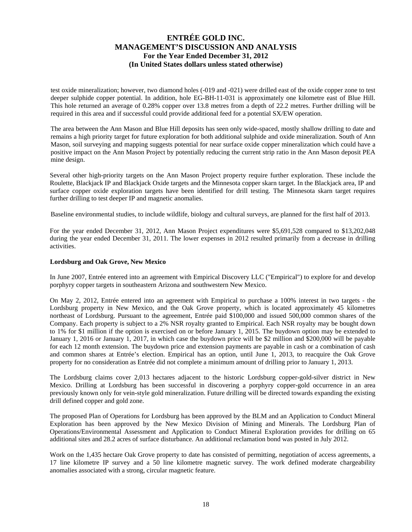test oxide mineralization; however, two diamond holes (-019 and -021) were drilled east of the oxide copper zone to test deeper sulphide copper potential. In addition, hole EG-BH-11-031 is approximately one kilometre east of Blue Hill. This hole returned an average of 0.28% copper over 13.8 metres from a depth of 22.2 metres. Further drilling will be required in this area and if successful could provide additional feed for a potential SX/EW operation.

The area between the Ann Mason and Blue Hill deposits has seen only wide-spaced, mostly shallow drilling to date and remains a high priority target for future exploration for both additional sulphide and oxide mineralization. South of Ann Mason, soil surveying and mapping suggests potential for near surface oxide copper mineralization which could have a positive impact on the Ann Mason Project by potentially reducing the current strip ratio in the Ann Mason deposit PEA mine design.

Several other high-priority targets on the Ann Mason Project property require further exploration. These include the Roulette, Blackjack IP and Blackjack Oxide targets and the Minnesota copper skarn target. In the Blackjack area, IP and surface copper oxide exploration targets have been identified for drill testing. The Minnesota skarn target requires further drilling to test deeper IP and magnetic anomalies.

Baseline environmental studies, to include wildlife, biology and cultural surveys, are planned for the first half of 2013.

For the year ended December 31, 2012, Ann Mason Project expenditures were \$5,691,528 compared to \$13,202,048 during the year ended December 31, 2011. The lower expenses in 2012 resulted primarily from a decrease in drilling activities.

#### **Lordsburg and Oak Grove, New Mexico**

In June 2007, Entrée entered into an agreement with Empirical Discovery LLC ("Empirical") to explore for and develop porphyry copper targets in southeastern Arizona and southwestern New Mexico.

On May 2, 2012, Entrée entered into an agreement with Empirical to purchase a 100% interest in two targets - the Lordsburg property in New Mexico, and the Oak Grove property, which is located approximately 45 kilometres northeast of Lordsburg. Pursuant to the agreement, Entrée paid \$100,000 and issued 500,000 common shares of the Company. Each property is subject to a 2% NSR royalty granted to Empirical. Each NSR royalty may be bought down to 1% for \$1 million if the option is exercised on or before January 1, 2015. The buydown option may be extended to January 1, 2016 or January 1, 2017, in which case the buydown price will be \$2 million and \$200,000 will be payable for each 12 month extension. The buydown price and extension payments are payable in cash or a combination of cash and common shares at Entrée's election. Empirical has an option, until June 1, 2013, to reacquire the Oak Grove property for no consideration as Entrée did not complete a minimum amount of drilling prior to January 1, 2013.

The Lordsburg claims cover 2,013 hectares adjacent to the historic Lordsburg copper-gold-silver district in New Mexico. Drilling at Lordsburg has been successful in discovering a porphyry copper-gold occurrence in an area previously known only for vein-style gold mineralization. Future drilling will be directed towards expanding the existing drill defined copper and gold zone.

The proposed Plan of Operations for Lordsburg has been approved by the BLM and an Application to Conduct Mineral Exploration has been approved by the New Mexico Division of Mining and Minerals. The Lordsburg Plan of Operations/Environmental Assessment and Application to Conduct Mineral Exploration provides for drilling on 65 additional sites and 28.2 acres of surface disturbance. An additional reclamation bond was posted in July 2012.

Work on the 1,435 hectare Oak Grove property to date has consisted of permitting, negotiation of access agreements, a 17 line kilometre IP survey and a 50 line kilometre magnetic survey. The work defined moderate chargeability anomalies associated with a strong, circular magnetic feature.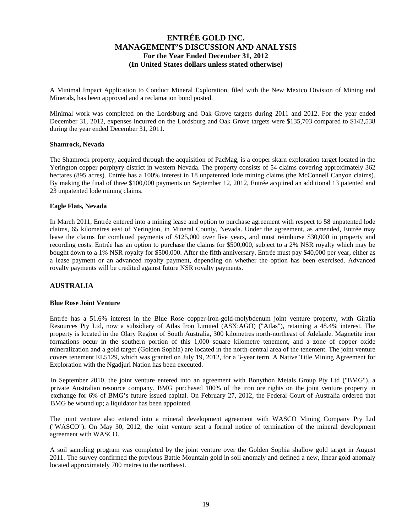A Minimal Impact Application to Conduct Mineral Exploration, filed with the New Mexico Division of Mining and Minerals, has been approved and a reclamation bond posted.

Minimal work was completed on the Lordsburg and Oak Grove targets during 2011 and 2012. For the year ended December 31, 2012, expenses incurred on the Lordsburg and Oak Grove targets were \$135,703 compared to \$142,538 during the year ended December 31, 2011.

#### **Shamrock, Nevada**

The Shamrock property, acquired through the acquisition of PacMag, is a copper skarn exploration target located in the Yerington copper porphyry district in western Nevada. The property consists of 54 claims covering approximately 362 hectares (895 acres). Entrée has a 100% interest in 18 unpatented lode mining claims (the McConnell Canyon claims). By making the final of three \$100,000 payments on September 12, 2012, Entrée acquired an additional 13 patented and 23 unpatented lode mining claims.

#### **Eagle Flats, Nevada**

In March 2011, Entrée entered into a mining lease and option to purchase agreement with respect to 58 unpatented lode claims, 65 kilometres east of Yerington, in Mineral County, Nevada. Under the agreement, as amended, Entrée may lease the claims for combined payments of \$125,000 over five years, and must reimburse \$30,000 in property and recording costs. Entrée has an option to purchase the claims for \$500,000, subject to a 2% NSR royalty which may be bought down to a 1% NSR royalty for \$500,000. After the fifth anniversary, Entrée must pay \$40,000 per year, either as a lease payment or an advanced royalty payment, depending on whether the option has been exercised. Advanced royalty payments will be credited against future NSR royalty payments.

### **AUSTRALIA**

#### **Blue Rose Joint Venture**

Entrée has a 51.6% interest in the Blue Rose copper-iron-gold-molybdenum joint venture property, with Giralia Resources Pty Ltd, now a subsidiary of Atlas Iron Limited (ASX:AGO) ("Atlas"), retaining a 48.4% interest. The property is located in the Olary Region of South Australia, 300 kilometres north-northeast of Adelaide. Magnetite iron formations occur in the southern portion of this 1,000 square kilometre tenement, and a zone of copper oxide mineralization and a gold target (Golden Sophia) are located in the north-central area of the tenement. The joint venture covers tenement EL5129, which was granted on July 19, 2012, for a 3-year term. A Native Title Mining Agreement for Exploration with the Ngadjuri Nation has been executed.

In September 2010, the joint venture entered into an agreement with Bonython Metals Group Pty Ltd ("BMG"), a private Australian resource company. BMG purchased 100% of the iron ore rights on the joint venture property in exchange for 6% of BMG's future issued capital. On February 27, 2012, the Federal Court of Australia ordered that BMG be wound up; a liquidator has been appointed.

The joint venture also entered into a mineral development agreement with WASCO Mining Company Pty Ltd ("WASCO"). On May 30, 2012, the joint venture sent a formal notice of termination of the mineral development agreement with WASCO.

A soil sampling program was completed by the joint venture over the Golden Sophia shallow gold target in August 2011. The survey confirmed the previous Battle Mountain gold in soil anomaly and defined a new, linear gold anomaly located approximately 700 metres to the northeast.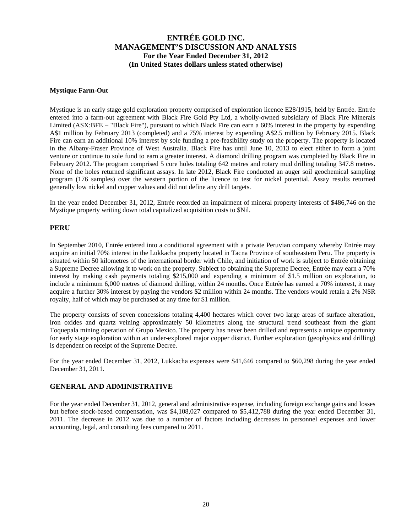#### **Mystique Farm-Out**

Mystique is an early stage gold exploration property comprised of exploration licence E28/1915, held by Entrée. Entrée entered into a farm-out agreement with Black Fire Gold Pty Ltd, a wholly-owned subsidiary of Black Fire Minerals Limited (ASX:BFE – "Black Fire"), pursuant to which Black Fire can earn a 60% interest in the property by expending A\$1 million by February 2013 (completed) and a 75% interest by expending A\$2.5 million by February 2015. Black Fire can earn an additional 10% interest by sole funding a pre-feasibility study on the property. The property is located in the Albany-Fraser Province of West Australia. Black Fire has until June 10, 2013 to elect either to form a joint venture or continue to sole fund to earn a greater interest. A diamond drilling program was completed by Black Fire in February 2012. The program comprised 5 core holes totaling 642 metres and rotary mud drilling totaling 347.8 metres. None of the holes returned significant assays. In late 2012, Black Fire conducted an auger soil geochemical sampling program (176 samples) over the western portion of the licence to test for nickel potential. Assay results returned generally low nickel and copper values and did not define any drill targets.

In the year ended December 31, 2012, Entrée recorded an impairment of mineral property interests of \$486,746 on the Mystique property writing down total capitalized acquisition costs to \$Nil.

#### **PERU**

In September 2010, Entrée entered into a conditional agreement with a private Peruvian company whereby Entrée may acquire an initial 70% interest in the Lukkacha property located in Tacna Province of southeastern Peru. The property is situated within 50 kilometres of the international border with Chile, and initiation of work is subject to Entrée obtaining a Supreme Decree allowing it to work on the property. Subject to obtaining the Supreme Decree, Entrée may earn a 70% interest by making cash payments totaling \$215,000 and expending a minimum of \$1.5 million on exploration, to include a minimum 6,000 metres of diamond drilling, within 24 months. Once Entrée has earned a 70% interest, it may acquire a further 30% interest by paying the vendors \$2 million within 24 months. The vendors would retain a 2% NSR royalty, half of which may be purchased at any time for \$1 million.

The property consists of seven concessions totaling 4,400 hectares which cover two large areas of surface alteration, iron oxides and quartz veining approximately 50 kilometres along the structural trend southeast from the giant Toquepala mining operation of Grupo Mexico. The property has never been drilled and represents a unique opportunity for early stage exploration within an under-explored major copper district. Further exploration (geophysics and drilling) is dependent on receipt of the Supreme Decree.

For the year ended December 31, 2012, Lukkacha expenses were \$41,646 compared to \$60,298 during the year ended December 31, 2011.

#### **GENERAL AND ADMINISTRATIVE**

For the year ended December 31, 2012, general and administrative expense, including foreign exchange gains and losses but before stock-based compensation, was \$4,108,027 compared to \$5,412,788 during the year ended December 31, 2011. The decrease in 2012 was due to a number of factors including decreases in personnel expenses and lower accounting, legal, and consulting fees compared to 2011.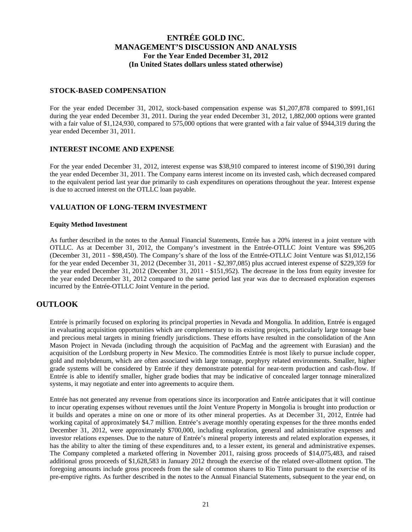#### **STOCK-BASED COMPENSATION**

For the year ended December 31, 2012, stock-based compensation expense was \$1,207,878 compared to \$991,161 during the year ended December 31, 2011. During the year ended December 31, 2012, 1,882,000 options were granted with a fair value of \$1,124,930, compared to 575,000 options that were granted with a fair value of \$944,319 during the year ended December 31, 2011.

#### **INTEREST INCOME AND EXPENSE**

For the year ended December 31, 2012, interest expense was \$38,910 compared to interest income of \$190,391 during the year ended December 31, 2011. The Company earns interest income on its invested cash, which decreased compared to the equivalent period last year due primarily to cash expenditures on operations throughout the year. Interest expense is due to accrued interest on the OTLLC loan payable.

### **VALUATION OF LONG-TERM INVESTMENT**

#### **Equity Method Investment**

As further described in the notes to the Annual Financial Statements, Entrée has a 20% interest in a joint venture with OTLLC. As at December 31, 2012, the Company's investment in the Entrée-OTLLC Joint Venture was \$96,205 (December 31, 2011 - \$98,450). The Company's share of the loss of the Entrée-OTLLC Joint Venture was \$1,012,156 for the year ended December 31, 2012 (December 31, 2011 - \$2,397,085) plus accrued interest expense of \$229,359 for the year ended December 31, 2012 (December 31, 2011 - \$151,952). The decrease in the loss from equity investee for the year ended December 31, 2012 compared to the same period last year was due to decreased exploration expenses incurred by the Entrée-OTLLC Joint Venture in the period.

## **OUTLOOK**

Entrée is primarily focused on exploring its principal properties in Nevada and Mongolia. In addition, Entrée is engaged in evaluating acquisition opportunities which are complementary to its existing projects, particularly large tonnage base and precious metal targets in mining friendly jurisdictions. These efforts have resulted in the consolidation of the Ann Mason Project in Nevada (including through the acquisition of PacMag and the agreement with Eurasian) and the acquisition of the Lordsburg property in New Mexico. The commodities Entrée is most likely to pursue include copper, gold and molybdenum, which are often associated with large tonnage, porphyry related environments. Smaller, higher grade systems will be considered by Entrée if they demonstrate potential for near-term production and cash-flow. If Entrée is able to identify smaller, higher grade bodies that may be indicative of concealed larger tonnage mineralized systems, it may negotiate and enter into agreements to acquire them.

Entrée has not generated any revenue from operations since its incorporation and Entrée anticipates that it will continue to incur operating expenses without revenues until the Joint Venture Property in Mongolia is brought into production or it builds and operates a mine on one or more of its other mineral properties. As at December 31, 2012, Entrée had working capital of approximately \$4.7 million. Entrée's average monthly operating expenses for the three months ended December 31, 2012, were approximately \$700,000, including exploration, general and administrative expenses and investor relations expenses. Due to the nature of Entrée's mineral property interests and related exploration expenses, it has the ability to alter the timing of these expenditures and, to a lesser extent, its general and administrative expenses. The Company completed a marketed offering in November 2011, raising gross proceeds of \$14,075,483, and raised additional gross proceeds of \$1,628,583 in January 2012 through the exercise of the related over-allotment option. The foregoing amounts include gross proceeds from the sale of common shares to Rio Tinto pursuant to the exercise of its pre-emptive rights. As further described in the notes to the Annual Financial Statements, subsequent to the year end, on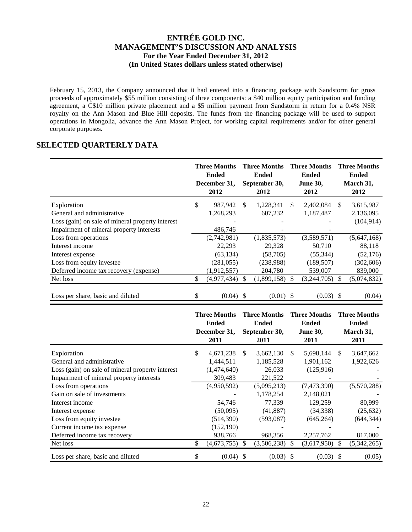February 15, 2013, the Company announced that it had entered into a financing package with Sandstorm for gross proceeds of approximately \$55 million consisting of three components: a \$40 million equity participation and funding agreement, a C\$10 million private placement and a \$5 million payment from Sandstorm in return for a 0.4% NSR royalty on the Ann Mason and Blue Hill deposits. The funds from the financing package will be used to support operations in Mongolia, advance the Ann Mason Project, for working capital requirements and/or for other general corporate purposes.

# **SELECTED QUARTERLY DATA**

|                                                  |    | <b>Three Months</b><br><b>Ended</b><br>December 31,<br>2012 |     | <b>Three Months</b><br><b>Ended</b><br>September 30,<br>2012 |    | <b>Three Months</b><br><b>Ended</b><br><b>June 30,</b><br>2012 |     | <b>Three Months</b><br><b>Ended</b><br>March 31,<br>2012 |
|--------------------------------------------------|----|-------------------------------------------------------------|-----|--------------------------------------------------------------|----|----------------------------------------------------------------|-----|----------------------------------------------------------|
| Exploration                                      | \$ | 987,942                                                     | \$. | 1,228,341                                                    | S  | 2,402,084                                                      | \$. | 3,615,987                                                |
| General and administrative                       |    | 1,268,293                                                   |     | 607,232                                                      |    | 1,187,487                                                      |     | 2,136,095                                                |
| Loss (gain) on sale of mineral property interest |    |                                                             |     |                                                              |    |                                                                |     | (104, 914)                                               |
| Impairment of mineral property interests         |    | 486,746                                                     |     |                                                              |    |                                                                |     |                                                          |
| Loss from operations                             |    | (2,742,981)                                                 |     | (1,835,573)                                                  |    | (3,589,571)                                                    |     | (5,647,168)                                              |
| Interest income                                  |    | 22,293                                                      |     | 29,328                                                       |    | 50,710                                                         |     | 88,118                                                   |
| Interest expense                                 |    | (63, 134)                                                   |     | (58,705)                                                     |    | (55, 344)                                                      |     | (52, 176)                                                |
| Loss from equity investee                        |    | (281, 055)                                                  |     | (238,988)                                                    |    | (189, 507)                                                     |     | (302, 606)                                               |
| Deferred income tax recovery (expense)           |    | (1,912,557)                                                 |     | 204,780                                                      |    | 539,007                                                        |     | 839,000                                                  |
| Net loss                                         | S. | (4,977,434)                                                 |     | (1,899,158)                                                  | -S | (3,244,705)                                                    | \$. | (5,074,832)                                              |
| Loss per share, basic and diluted                | \$ | $(0.04)$ \$                                                 |     | $(0.01)$ \$                                                  |    | $(0.03)$ \$                                                    |     | (0.04)                                                   |

|                                                  | <b>Three Months</b><br><b>Ended</b><br>December 31,<br>2011 |               | <b>Three Months</b><br><b>Ended</b><br>September 30,<br>2011 |    | <b>Three Months</b><br><b>Ended</b><br><b>June 30,</b><br>2011 |    | <b>Three Months</b><br><b>Ended</b><br>March 31,<br>2011 |
|--------------------------------------------------|-------------------------------------------------------------|---------------|--------------------------------------------------------------|----|----------------------------------------------------------------|----|----------------------------------------------------------|
| Exploration                                      | \$<br>4,671,238                                             | <sup>\$</sup> | 3,662,130                                                    | \$ | 5,698,144                                                      | \$ | 3,647,662                                                |
| General and administrative                       | 1,444,511                                                   |               | 1,185,528                                                    |    | 1,901,162                                                      |    | 1,922,626                                                |
| Loss (gain) on sale of mineral property interest | (1,474,640)                                                 |               | 26,033                                                       |    | (125,916)                                                      |    |                                                          |
| Impairment of mineral property interests         | 309,483                                                     |               | 221,522                                                      |    |                                                                |    |                                                          |
| Loss from operations                             | (4,950,592)                                                 |               | (5,095,213)                                                  |    | (7,473,390)                                                    |    | (5,570,288)                                              |
| Gain on sale of investments                      |                                                             |               | 1,178,254                                                    |    | 2,148,021                                                      |    |                                                          |
| Interest income                                  | 54,746                                                      |               | 77,339                                                       |    | 129,259                                                        |    | 80,999                                                   |
| Interest expense                                 | (50,095)                                                    |               | (41,887)                                                     |    | (34, 338)                                                      |    | (25, 632)                                                |
| Loss from equity investee                        | (514, 390)                                                  |               | (593,087)                                                    |    | (645, 264)                                                     |    | (644, 344)                                               |
| Current income tax expense                       | (152, 190)                                                  |               |                                                              |    |                                                                |    |                                                          |
| Deferred income tax recovery                     | 938,766                                                     |               | 968,356                                                      |    | 2,257,762                                                      |    | 817,000                                                  |
| Net loss                                         | \$<br>(4,673,755)                                           | <sup>\$</sup> | (3,506,238)                                                  | S  | (3,617,950)                                                    | S  | (5,342,265)                                              |
| Loss per share, basic and diluted                | \$<br>$(0.04)$ \$                                           |               | (0.03)                                                       | -8 | (0.03)                                                         | S  | (0.05)                                                   |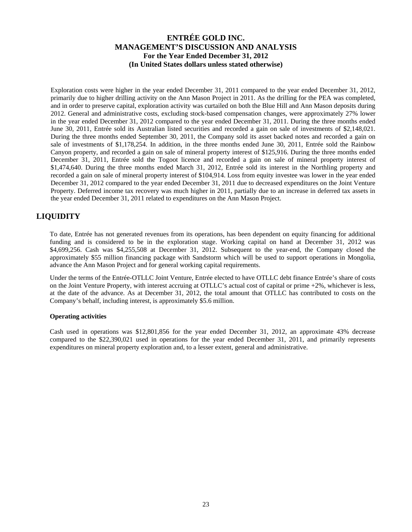Exploration costs were higher in the year ended December 31, 2011 compared to the year ended December 31, 2012, primarily due to higher drilling activity on the Ann Mason Project in 2011. As the drilling for the PEA was completed, and in order to preserve capital, exploration activity was curtailed on both the Blue Hill and Ann Mason deposits during 2012. General and administrative costs, excluding stock-based compensation changes, were approximately 27% lower in the year ended December 31, 2012 compared to the year ended December 31, 2011. During the three months ended June 30, 2011, Entrée sold its Australian listed securities and recorded a gain on sale of investments of \$2,148,021. During the three months ended September 30, 2011, the Company sold its asset backed notes and recorded a gain on sale of investments of \$1,178,254. In addition, in the three months ended June 30, 2011, Entrée sold the Rainbow Canyon property, and recorded a gain on sale of mineral property interest of \$125,916. During the three months ended December 31, 2011, Entrée sold the Togoot licence and recorded a gain on sale of mineral property interest of \$1,474,640. During the three months ended March 31, 2012, Entrée sold its interest in the Northling property and recorded a gain on sale of mineral property interest of \$104,914. Loss from equity investee was lower in the year ended December 31, 2012 compared to the year ended December 31, 2011 due to decreased expenditures on the Joint Venture Property. Deferred income tax recovery was much higher in 2011, partially due to an increase in deferred tax assets in the year ended December 31, 2011 related to expenditures on the Ann Mason Project.

# **LIQUIDITY**

To date, Entrée has not generated revenues from its operations, has been dependent on equity financing for additional funding and is considered to be in the exploration stage. Working capital on hand at December 31, 2012 was \$4,699,256. Cash was \$4,255,508 at December 31, 2012. Subsequent to the year-end, the Company closed the approximately \$55 million financing package with Sandstorm which will be used to support operations in Mongolia, advance the Ann Mason Project and for general working capital requirements.

Under the terms of the Entrée-OTLLC Joint Venture, Entrée elected to have OTLLC debt finance Entrée's share of costs on the Joint Venture Property, with interest accruing at OTLLC's actual cost of capital or prime +2%, whichever is less, at the date of the advance. As at December 31, 2012, the total amount that OTLLC has contributed to costs on the Company's behalf, including interest, is approximately \$5.6 million.

#### **Operating activities**

Cash used in operations was \$12,801,856 for the year ended December 31, 2012, an approximate 43% decrease compared to the \$22,390,021 used in operations for the year ended December 31, 2011, and primarily represents expenditures on mineral property exploration and, to a lesser extent, general and administrative.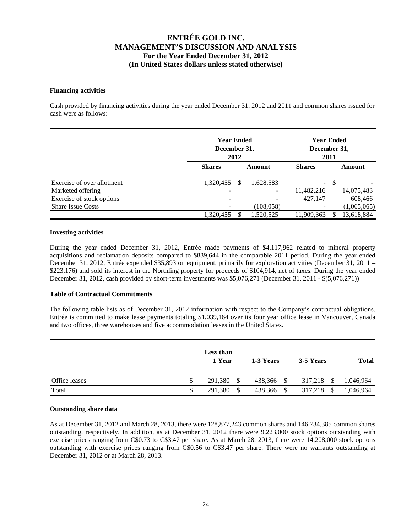#### **Financing activities**

Cash provided by financing activities during the year ended December 31, 2012 and 2011 and common shares issued for cash were as follows:

|                                                       |               | <b>Year Ended</b><br>December 31,<br>2012 |            |               |        | <b>Year Ended</b><br>December 31, |  |
|-------------------------------------------------------|---------------|-------------------------------------------|------------|---------------|--------|-----------------------------------|--|
|                                                       | <b>Shares</b> | Amount                                    |            | <b>Shares</b> |        | Amount                            |  |
| Exercise of over allotment                            | 1,320,455     | S                                         | 1,628,583  |               | $-$ \$ |                                   |  |
| Marketed offering                                     | -             |                                           | -          | 11,482,216    |        | 14,075,483                        |  |
| Exercise of stock options<br><b>Share Issue Costs</b> | -             |                                           | (108, 058) | 427,147       |        | 608,466<br>(1,065,065)            |  |
|                                                       | 1,320,455     |                                           | 1,520,525  | 11.909.363    | S      | 13,618,884                        |  |

#### **Investing activities**

During the year ended December 31, 2012, Entrée made payments of \$4,117,962 related to mineral property acquisitions and reclamation deposits compared to \$839,644 in the comparable 2011 period. During the year ended December 31, 2012, Entrée expended \$35,893 on equipment, primarily for exploration activities (December 31, 2011 – \$223,176) and sold its interest in the Northling property for proceeds of \$104,914, net of taxes. During the year ended December 31, 2012, cash provided by short-term investments was \$5,076,271 (December 31, 2011 - \$(5,076,271))

#### **Table of Contractual Commitments**

The following table lists as of December 31, 2012 information with respect to the Company's contractual obligations. Entrée is committed to make lease payments totaling \$1,039,164 over its four year office lease in Vancouver, Canada and two offices, three warehouses and five accommodation leases in the United States.

|               |    | Less than<br>1 Year | 1-3 Years  |               | 3-5 Years                | <b>Total</b> |
|---------------|----|---------------------|------------|---------------|--------------------------|--------------|
| Office leases | S  | 291,380<br>S        | 438,366 \$ |               | 317,218<br>-S            | 1,046,964    |
| Total         | \$ | 291,380<br>\$       | 438,366    | <sup>\$</sup> | 317,218<br><sup>\$</sup> | 1,046,964    |

#### **Outstanding share data**

As at December 31, 2012 and March 28, 2013, there were 128,877,243 common shares and 146,734,385 common shares outstanding, respectively. In addition, as at December 31, 2012 there were 9,223,000 stock options outstanding with exercise prices ranging from C\$0.73 to C\$3.47 per share. As at March 28, 2013, there were 14,208,000 stock options outstanding with exercise prices ranging from C\$0.56 to C\$3.47 per share. There were no warrants outstanding at December 31, 2012 or at March 28, 2013.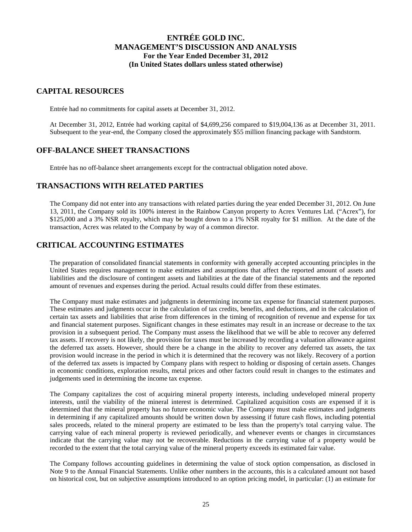### **CAPITAL RESOURCES**

Entrée had no commitments for capital assets at December 31, 2012.

At December 31, 2012, Entrée had working capital of \$4,699,256 compared to \$19,004,136 as at December 31, 2011. Subsequent to the year-end, the Company closed the approximately \$55 million financing package with Sandstorm.

## **OFF-BALANCE SHEET TRANSACTIONS**

Entrée has no off-balance sheet arrangements except for the contractual obligation noted above.

### **TRANSACTIONS WITH RELATED PARTIES**

The Company did not enter into any transactions with related parties during the year ended December 31, 2012. On June 13, 2011, the Company sold its 100% interest in the Rainbow Canyon property to Acrex Ventures Ltd. ("Acrex"), for \$125,000 and a 3% NSR royalty, which may be bought down to a 1% NSR royalty for \$1 million. At the date of the transaction, Acrex was related to the Company by way of a common director.

## **CRITICAL ACCOUNTING ESTIMATES**

The preparation of consolidated financial statements in conformity with generally accepted accounting principles in the United States requires management to make estimates and assumptions that affect the reported amount of assets and liabilities and the disclosure of contingent assets and liabilities at the date of the financial statements and the reported amount of revenues and expenses during the period. Actual results could differ from these estimates.

The Company must make estimates and judgments in determining income tax expense for financial statement purposes. These estimates and judgments occur in the calculation of tax credits, benefits, and deductions, and in the calculation of certain tax assets and liabilities that arise from differences in the timing of recognition of revenue and expense for tax and financial statement purposes. Significant changes in these estimates may result in an increase or decrease to the tax provision in a subsequent period. The Company must assess the likelihood that we will be able to recover any deferred tax assets. If recovery is not likely, the provision for taxes must be increased by recording a valuation allowance against the deferred tax assets. However, should there be a change in the ability to recover any deferred tax assets, the tax provision would increase in the period in which it is determined that the recovery was not likely. Recovery of a portion of the deferred tax assets is impacted by Company plans with respect to holding or disposing of certain assets. Changes in economic conditions, exploration results, metal prices and other factors could result in changes to the estimates and judgements used in determining the income tax expense.

The Company capitalizes the cost of acquiring mineral property interests, including undeveloped mineral property interests, until the viability of the mineral interest is determined. Capitalized acquisition costs are expensed if it is determined that the mineral property has no future economic value. The Company must make estimates and judgments in determining if any capitalized amounts should be written down by assessing if future cash flows, including potential sales proceeds, related to the mineral property are estimated to be less than the property's total carrying value. The carrying value of each mineral property is reviewed periodically, and whenever events or changes in circumstances indicate that the carrying value may not be recoverable. Reductions in the carrying value of a property would be recorded to the extent that the total carrying value of the mineral property exceeds its estimated fair value.

The Company follows accounting guidelines in determining the value of stock option compensation, as disclosed in Note 9 to the Annual Financial Statements. Unlike other numbers in the accounts, this is a calculated amount not based on historical cost, but on subjective assumptions introduced to an option pricing model, in particular: (1) an estimate for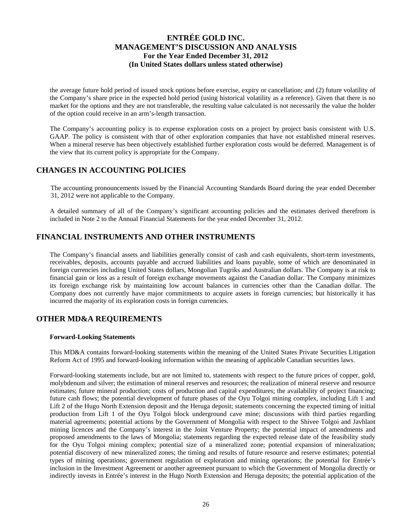the average future hold period of issued stock options before exercise, expiry or cancellation; and (2) future volatility of the Company's share price in the expected hold period (using historical volatility as a reference). Given that there is no market for the options and they are not transferable, the resulting value calculated is not necessarily the value the holder of the option could receive in an arm's-length transaction.

The Company's accounting policy is to expense exploration costs on a project by project basis consistent with U.S. GAAP. The policy is consistent with that of other exploration companies that have not established mineral reserves. When a mineral reserve has been objectively established further exploration costs would be deferred. Management is of the view that its current policy is appropriate for the Company.

# **CHANGES IN ACCOUNTING POLICIES**

The accounting pronouncements issued by the Financial Accounting Standards Board during the year ended December 31, 2012 were not applicable to the Company.

A detailed summary of all of the Company's significant accounting policies and the estimates derived therefrom is included in Note 2 to the Annual Financial Statements for the year ended December 31, 2012.

# **FINANCIAL INSTRUMENTS AND OTHER INSTRUMENTS**

The Company's financial assets and liabilities generally consist of cash and cash equivalents, short-term investments, receivables, deposits, accounts payable and accrued liabilities and loans payable, some of which are denominated in foreign currencies including United States dollars, Mongolian Tugriks and Australian dollars. The Company is at risk to financial gain or loss as a result of foreign exchange movements against the Canadian dollar. The Company minimizes its foreign exchange risk by maintaining low account balances in currencies other than the Canadian dollar. The Company does not currently have major commitments to acquire assets in foreign currencies; but historically it has incurred the majority of its exploration costs in foreign currencies.

## **OTHER MD&A REQUIREMENTS**

#### **Forward-Looking Statements**

This MD&A contains forward-looking statements within the meaning of the United States Private Securities Litigation Reform Act of 1995 and forward-looking information within the meaning of applicable Canadian securities laws.

Forward-looking statements include, but are not limited to, statements with respect to the future prices of copper, gold, molybdenum and silver; the estimation of mineral reserves and resources; the realization of mineral reserve and resource estimates; future mineral production; costs of production and capital expenditures; the availability of project financing; future cash flows; the potential development of future phases of the Oyu Tolgoi mining complex, including Lift 1 and Lift 2 of the Hugo North Extension deposit and the Heruga deposit; statements concerning the expected timing of initial production from Lift 1 of the Oyu Tolgoi block underground cave mine; discussions with third parties regarding material agreements; potential actions by the Government of Mongolia with respect to the Shivee Tolgoi and Javhlant mining licences and the Company's interest in the Joint Venture Property; the potential impact of amendments and proposed amendments to the laws of Mongolia; statements regarding the expected release date of the feasibility study for the Oyu Tolgoi mining complex; potential size of a mineralized zone; potential expansion of mineralization; potential discovery of new mineralized zones; the timing and results of future resource and reserve estimates; potential types of mining operations; government regulation of exploration and mining operations; the potential for Entrée's inclusion in the Investment Agreement or another agreement pursuant to which the Government of Mongolia directly or indirectly invests in Entrée's interest in the Hugo North Extension and Heruga deposits; the potential application of the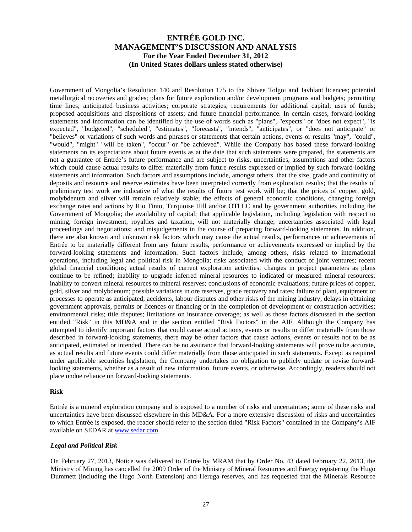Government of Mongolia's Resolution 140 and Resolution 175 to the Shivee Tolgoi and Javhlant licences; potential metallurgical recoveries and grades; plans for future exploration and/or development programs and budgets; permitting time lines; anticipated business activities; corporate strategies; requirements for additional capital; uses of funds; proposed acquisitions and dispositions of assets; and future financial performance. In certain cases, forward-looking statements and information can be identified by the use of words such as "plans", "expects" or "does not expect", "is expected", "budgeted", "scheduled", "estimates", "forecasts", "intends", "anticipates", or "does not anticipate" or "believes" or variations of such words and phrases or statements that certain actions, events or results "may", "could", "would", "might" "will be taken", "occur" or "be achieved". While the Company has based these forward-looking statements on its expectations about future events as at the date that such statements were prepared, the statements are not a guarantee of Entrée's future performance and are subject to risks, uncertainties, assumptions and other factors which could cause actual results to differ materially from future results expressed or implied by such forward-looking statements and information. Such factors and assumptions include, amongst others, that the size, grade and continuity of deposits and resource and reserve estimates have been interpreted correctly from exploration results; that the results of preliminary test work are indicative of what the results of future test work will be; that the prices of copper, gold, molybdenum and silver will remain relatively stable; the effects of general economic conditions, changing foreign exchange rates and actions by Rio Tinto, Turquoise Hill and/or OTLLC and by government authorities including the Government of Mongolia; the availability of capital; that applicable legislation, including legislation with respect to mining, foreign investment, royalties and taxation, will not materially change; uncertainties associated with legal proceedings and negotiations; and misjudgements in the course of preparing forward-looking statements. In addition, there are also known and unknown risk factors which may cause the actual results, performances or achievements of Entrée to be materially different from any future results, performance or achievements expressed or implied by the forward-looking statements and information. Such factors include, among others, risks related to international operations, including legal and political risk in Mongolia; risks associated with the conduct of joint ventures; recent global financial conditions; actual results of current exploration activities; changes in project parameters as plans continue to be refined; inability to upgrade inferred mineral resources to indicated or measured mineral resources; inability to convert mineral resources to mineral reserves; conclusions of economic evaluations; future prices of copper, gold, silver and molybdenum; possible variations in ore reserves, grade recovery and rates; failure of plant, equipment or processes to operate as anticipated; accidents, labour disputes and other risks of the mining industry; delays in obtaining government approvals, permits or licences or financing or in the completion of development or construction activities; environmental risks; title disputes; limitations on insurance coverage; as well as those factors discussed in the section entitled "Risk" in this MD&A and in the section entitled "Risk Factors" in the AIF. Although the Company has attempted to identify important factors that could cause actual actions, events or results to differ materially from those described in forward-looking statements, there may be other factors that cause actions, events or results not to be as anticipated, estimated or intended. There can be no assurance that forward-looking statements will prove to be accurate, as actual results and future events could differ materially from those anticipated in such statements. Except as required under applicable securities legislation, the Company undertakes no obligation to publicly update or revise forwardlooking statements, whether as a result of new information, future events, or otherwise. Accordingly, readers should not place undue reliance on forward-looking statements.

#### **Risk**

Entrée is a mineral exploration company and is exposed to a number of risks and uncertainties; some of these risks and uncertainties have been discussed elsewhere in this MD&A. For a more extensive discussion of risks and uncertainties to which Entrée is exposed, the reader should refer to the section titled "Risk Factors" contained in the Company's AIF available on SEDAR at www.sedar.com.

#### *Legal and Political Risk*

On February 27, 2013, Notice was delivered to Entrée by MRAM that by Order No. 43 dated February 22, 2013, the Ministry of Mining has cancelled the 2009 Order of the Ministry of Mineral Resources and Energy registering the Hugo Dummett (including the Hugo North Extension) and Heruga reserves, and has requested that the Minerals Resource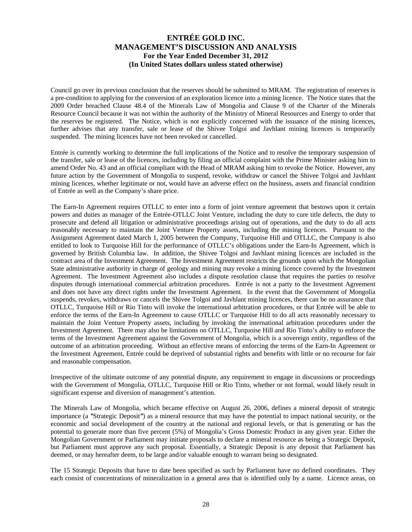Council go over its previous conclusion that the reserves should be submitted to MRAM. The registration of reserves is a pre-condition to applying for the conversion of an exploration licence into a mining licence. The Notice states that the 2009 Order breached Clause 48.4 of the Minerals Law of Mongolia and Clause 9 of the Charter of the Minerals Resource Council because it was not within the authority of the Ministry of Mineral Resources and Energy to order that the reserves be registered. The Notice, which is not explicitly concerned with the issuance of the mining licences, further advises that any transfer, sale or lease of the Shivee Tolgoi and Javhlant mining licences is temporarily suspended. The mining licences have not been revoked or cancelled.

Entrée is currently working to determine the full implications of the Notice and to resolve the temporary suspension of the transfer, sale or lease of the licences, including by filing an official complaint with the Prime Minister asking him to amend Order No. 43 and an official compliant with the Head of MRAM asking him to revoke the Notice. However, any future action by the Government of Mongolia to suspend, revoke, withdraw or cancel the Shivee Tolgoi and Javhlant mining licences, whether legitimate or not, would have an adverse effect on the business, assets and financial condition of Entrée as well as the Company's share price.

The Earn-In Agreement requires OTLLC to enter into a form of joint venture agreement that bestows upon it certain powers and duties as manager of the Entrée-OTLLC Joint Venture, including the duty to cure title defects, the duty to prosecute and defend all litigation or administrative proceedings arising out of operations, and the duty to do all acts reasonably necessary to maintain the Joint Venture Property assets, including the mining licences. Pursuant to the Assignment Agreement dated March 1, 2005 between the Company, Turquoise Hill and OTLLC, the Company is also entitled to look to Turquoise Hill for the performance of OTLLC's obligations under the Earn-In Agreement, which is governed by British Columbia law. In addition, the Shivee Tolgoi and Javhlant mining licences are included in the contract area of the Investment Agreement. The Investment Agreement restricts the grounds upon which the Mongolian State administrative authority in charge of geology and mining may revoke a mining licence covered by the Investment Agreement. The Investment Agreement also includes a dispute resolution clause that requires the parties to resolve disputes through international commercial arbitration procedures. Entrée is not a party to the Investment Agreement and does not have any direct rights under the Investment Agreement. In the event that the Government of Mongolia suspends, revokes, withdraws or cancels the Shivee Tolgoi and Javhlant mining licences, there can be no assurance that OTLLC, Turquoise Hill or Rio Tinto will invoke the international arbitration procedures, or that Entrée will be able to enforce the terms of the Earn-In Agreement to cause OTLLC or Turquoise Hill to do all acts reasonably necessary to maintain the Joint Venture Property assets, including by invoking the international arbitration procedures under the Investment Agreement. There may also be limitations on OTLLC, Turquoise Hill and Rio Tinto's ability to enforce the terms of the Investment Agreement against the Government of Mongolia, which is a sovereign entity, regardless of the outcome of an arbitration proceeding. Without an effective means of enforcing the terms of the Earn-In Agreement or the Investment Agreement, Entrée could be deprived of substantial rights and benefits with little or no recourse for fair and reasonable compensation.

Irrespective of the ultimate outcome of any potential dispute, any requirement to engage in discussions or proceedings with the Government of Mongolia, OTLLC, Turquoise Hill or Rio Tinto, whether or not formal, would likely result in significant expense and diversion of management's attention.

The Minerals Law of Mongolia, which became effective on August 26, 2006, defines a mineral deposit of strategic importance (a *"*Strategic Deposit*"*) as a mineral resource that may have the potential to impact national security, or the economic and social development of the country at the national and regional levels, or that is generating or has the potential to generate more than five percent (5%) of Mongolia's Gross Domestic Product in any given year. Either the Mongolian Government or Parliament may initiate proposals to declare a mineral resource as being a Strategic Deposit, but Parliament must approve any such proposal. Essentially, a Strategic Deposit is any deposit that Parliament has deemed, or may hereafter deem, to be large and/or valuable enough to warrant being so designated.

The 15 Strategic Deposits that have to date been specified as such by Parliament have no defined coordinates. They each consist of concentrations of mineralization in a general area that is identified only by a name. Licence areas, on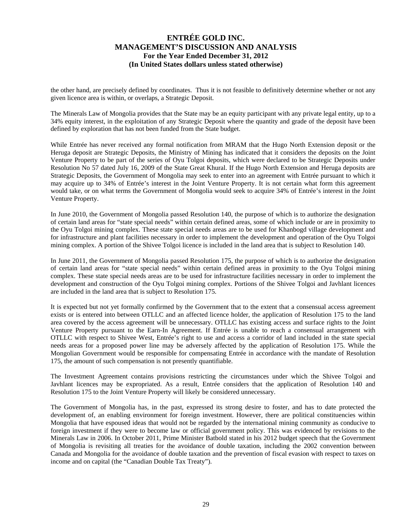the other hand, are precisely defined by coordinates. Thus it is not feasible to definitively determine whether or not any given licence area is within, or overlaps, a Strategic Deposit.

The Minerals Law of Mongolia provides that the State may be an equity participant with any private legal entity, up to a 34% equity interest, in the exploitation of any Strategic Deposit where the quantity and grade of the deposit have been defined by exploration that has not been funded from the State budget.

While Entrée has never received any formal notification from MRAM that the Hugo North Extension deposit or the Heruga deposit are Strategic Deposits, the Ministry of Mining has indicated that it considers the deposits on the Joint Venture Property to be part of the series of Oyu Tolgoi deposits, which were declared to be Strategic Deposits under Resolution No 57 dated July 16, 2009 of the State Great Khural. If the Hugo North Extension and Heruga deposits are Strategic Deposits, the Government of Mongolia may seek to enter into an agreement with Entrée pursuant to which it may acquire up to 34% of Entrée's interest in the Joint Venture Property. It is not certain what form this agreement would take, or on what terms the Government of Mongolia would seek to acquire 34% of Entrée's interest in the Joint Venture Property.

In June 2010, the Government of Mongolia passed Resolution 140, the purpose of which is to authorize the designation of certain land areas for "state special needs" within certain defined areas, some of which include or are in proximity to the Oyu Tolgoi mining complex. These state special needs areas are to be used for Khanbogd village development and for infrastructure and plant facilities necessary in order to implement the development and operation of the Oyu Tolgoi mining complex. A portion of the Shivee Tolgoi licence is included in the land area that is subject to Resolution 140.

In June 2011, the Government of Mongolia passed Resolution 175, the purpose of which is to authorize the designation of certain land areas for "state special needs" within certain defined areas in proximity to the Oyu Tolgoi mining complex. These state special needs areas are to be used for infrastructure facilities necessary in order to implement the development and construction of the Oyu Tolgoi mining complex. Portions of the Shivee Tolgoi and Javhlant licences are included in the land area that is subject to Resolution 175.

It is expected but not yet formally confirmed by the Government that to the extent that a consensual access agreement exists or is entered into between OTLLC and an affected licence holder, the application of Resolution 175 to the land area covered by the access agreement will be unnecessary. OTLLC has existing access and surface rights to the Joint Venture Property pursuant to the Earn-In Agreement. If Entrée is unable to reach a consensual arrangement with OTLLC with respect to Shivee West, Entrée's right to use and access a corridor of land included in the state special needs areas for a proposed power line may be adversely affected by the application of Resolution 175. While the Mongolian Government would be responsible for compensating Entrée in accordance with the mandate of Resolution 175, the amount of such compensation is not presently quantifiable.

The Investment Agreement contains provisions restricting the circumstances under which the Shivee Tolgoi and Javhlant licences may be expropriated. As a result, Entrée considers that the application of Resolution 140 and Resolution 175 to the Joint Venture Property will likely be considered unnecessary.

The Government of Mongolia has, in the past, expressed its strong desire to foster, and has to date protected the development of, an enabling environment for foreign investment. However, there are political constituencies within Mongolia that have espoused ideas that would not be regarded by the international mining community as conducive to foreign investment if they were to become law or official government policy. This was evidenced by revisions to the Minerals Law in 2006. In October 2011, Prime Minister Batbold stated in his 2012 budget speech that the Government of Mongolia is revisiting all treaties for the avoidance of double taxation, including the 2002 convention between Canada and Mongolia for the avoidance of double taxation and the prevention of fiscal evasion with respect to taxes on income and on capital (the "Canadian Double Tax Treaty").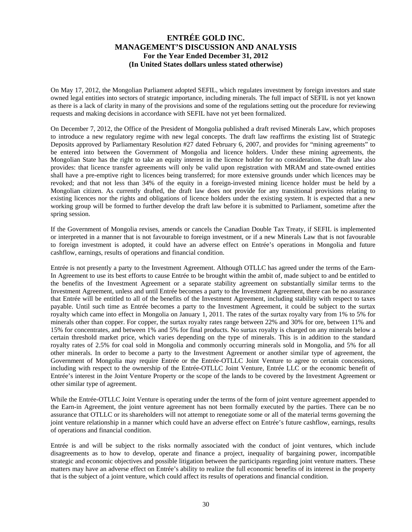On May 17, 2012, the Mongolian Parliament adopted SEFIL, which regulates investment by foreign investors and state owned legal entities into sectors of strategic importance, including minerals. The full impact of SEFIL is not yet known as there is a lack of clarity in many of the provisions and some of the regulations setting out the procedure for reviewing requests and making decisions in accordance with SEFIL have not yet been formalized.

On December 7, 2012, the Office of the President of Mongolia published a draft revised Minerals Law, which proposes to introduce a new regulatory regime with new legal concepts. The draft law reaffirms the existing list of Strategic Deposits approved by Parliamentary Resolution #27 dated February 6, 2007, and provides for "mining agreements" to be entered into between the Government of Mongolia and licence holders. Under these mining agreements, the Mongolian State has the right to take an equity interest in the licence holder for no consideration. The draft law also provides: that licence transfer agreements will only be valid upon registration with MRAM and state-owned entities shall have a pre-emptive right to licences being transferred; for more extensive grounds under which licences may be revoked; and that not less than 34% of the equity in a foreign-invested mining licence holder must be held by a Mongolian citizen. As currently drafted, the draft law does not provide for any transitional provisions relating to existing licences nor the rights and obligations of licence holders under the existing system. It is expected that a new working group will be formed to further develop the draft law before it is submitted to Parliament, sometime after the spring session.

If the Government of Mongolia revises, amends or cancels the Canadian Double Tax Treaty, if SEFIL is implemented or interpreted in a manner that is not favourable to foreign investment, or if a new Minerals Law that is not favourable to foreign investment is adopted, it could have an adverse effect on Entrée's operations in Mongolia and future cashflow, earnings, results of operations and financial condition.

Entrée is not presently a party to the Investment Agreement. Although OTLLC has agreed under the terms of the Earn-In Agreement to use its best efforts to cause Entrée to be brought within the ambit of, made subject to and be entitled to the benefits of the Investment Agreement or a separate stability agreement on substantially similar terms to the Investment Agreement, unless and until Entrée becomes a party to the Investment Agreement, there can be no assurance that Entrée will be entitled to all of the benefits of the Investment Agreement, including stability with respect to taxes payable. Until such time as Entrée becomes a party to the Investment Agreement, it could be subject to the surtax royalty which came into effect in Mongolia on January 1, 2011. The rates of the surtax royalty vary from 1% to 5% for minerals other than copper. For copper, the surtax royalty rates range between 22% and 30% for ore, between 11% and 15% for concentrates, and between 1% and 5% for final products. No surtax royalty is charged on any minerals below a certain threshold market price, which varies depending on the type of minerals. This is in addition to the standard royalty rates of 2.5% for coal sold in Mongolia and commonly occurring minerals sold in Mongolia, and 5% for all other minerals. In order to become a party to the Investment Agreement or another similar type of agreement, the Government of Mongolia may require Entrée or the Entrée-OTLLC Joint Venture to agree to certain concessions, including with respect to the ownership of the Entrée-OTLLC Joint Venture, Entrée LLC or the economic benefit of Entrée's interest in the Joint Venture Property or the scope of the lands to be covered by the Investment Agreement or other similar type of agreement.

While the Entrée-OTLLC Joint Venture is operating under the terms of the form of joint venture agreement appended to the Earn-in Agreement, the joint venture agreement has not been formally executed by the parties. There can be no assurance that OTLLC or its shareholders will not attempt to renegotiate some or all of the material terms governing the joint venture relationship in a manner which could have an adverse effect on Entrée's future cashflow, earnings, results of operations and financial condition.

Entrée is and will be subject to the risks normally associated with the conduct of joint ventures, which include disagreements as to how to develop, operate and finance a project, inequality of bargaining power, incompatible strategic and economic objectives and possible litigation between the participants regarding joint venture matters. These matters may have an adverse effect on Entrée's ability to realize the full economic benefits of its interest in the property that is the subject of a joint venture, which could affect its results of operations and financial condition.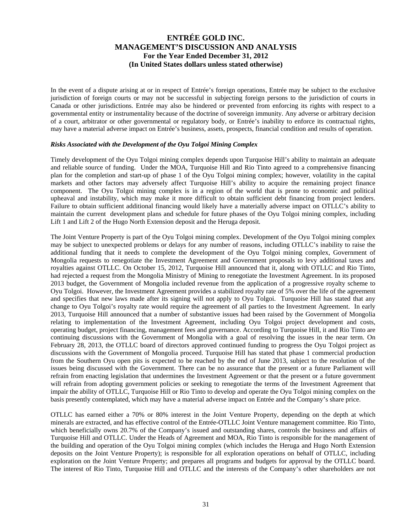In the event of a dispute arising at or in respect of Entrée's foreign operations, Entrée may be subject to the exclusive jurisdiction of foreign courts or may not be successful in subjecting foreign persons to the jurisdiction of courts in Canada or other jurisdictions. Entrée may also be hindered or prevented from enforcing its rights with respect to a governmental entity or instrumentality because of the doctrine of sovereign immunity. Any adverse or arbitrary decision of a court, arbitrator or other governmental or regulatory body, or Entrée's inability to enforce its contractual rights, may have a material adverse impact on Entrée's business, assets, prospects, financial condition and results of operation.

#### *Risks Associated with the Development of the Oyu Tolgoi Mining Complex*

Timely development of the Oyu Tolgoi mining complex depends upon Turquoise Hill's ability to maintain an adequate and reliable source of funding. Under the MOA, Turquoise Hill and Rio Tinto agreed to a comprehensive financing plan for the completion and start-up of phase 1 of the Oyu Tolgoi mining complex; however, volatility in the capital markets and other factors may adversely affect Turquoise Hill's ability to acquire the remaining project finance component. The Oyu Tolgoi mining complex is in a region of the world that is prone to economic and political upheaval and instability, which may make it more difficult to obtain sufficient debt financing from project lenders. Failure to obtain sufficient additional financing would likely have a materially adverse impact on OTLLC's ability to maintain the current development plans and schedule for future phases of the Oyu Tolgoi mining complex, including Lift 1 and Lift 2 of the Hugo North Extension deposit and the Heruga deposit.

The Joint Venture Property is part of the Oyu Tolgoi mining complex. Development of the Oyu Tolgoi mining complex may be subject to unexpected problems or delays for any number of reasons, including OTLLC's inability to raise the additional funding that it needs to complete the development of the Oyu Tolgoi mining complex, Government of Mongolia requests to renegotiate the Investment Agreement and Government proposals to levy additional taxes and royalties against OTLLC. On October 15, 2012, Turquoise Hill announced that it, along with OTLLC and Rio Tinto, had rejected a request from the Mongolia Ministry of Mining to renegotiate the Investment Agreement. In its proposed 2013 budget, the Government of Mongolia included revenue from the application of a progressive royalty scheme to Oyu Tolgoi. However, the Investment Agreement provides a stabilized royalty rate of 5% over the life of the agreement and specifies that new laws made after its signing will not apply to Oyu Tolgoi. Turquoise Hill has stated that any change to Oyu Tolgoi's royalty rate would require the agreement of all parties to the Investment Agreement. In early 2013, Turquoise Hill announced that a number of substantive issues had been raised by the Government of Mongolia relating to implementation of the Investment Agreement, including Oyu Tolgoi project development and costs, operating budget, project financing, management fees and governance. According to Turquoise Hill, it and Rio Tinto are continuing discussions with the Government of Mongolia with a goal of resolving the issues in the near term. On February 28, 2013, the OTLLC board of directors approved continued funding to progress the Oyu Tolgoi project as discussions with the Government of Mongolia proceed. Turquoise Hill has stated that phase 1 commercial production from the Southern Oyu open pits is expected to be reached by the end of June 2013, subject to the resolution of the issues being discussed with the Government. There can be no assurance that the present or a future Parliament will refrain from enacting legislation that undermines the Investment Agreement or that the present or a future government will refrain from adopting government policies or seeking to renegotiate the terms of the Investment Agreement that impair the ability of OTLLC, Turquoise Hill or Rio Tinto to develop and operate the Oyu Tolgoi mining complex on the basis presently contemplated, which may have a material adverse impact on Entrée and the Company's share price.

OTLLC has earned either a 70% or 80% interest in the Joint Venture Property, depending on the depth at which minerals are extracted, and has effective control of the Entrée-OTLLC Joint Venture management committee. Rio Tinto, which beneficially owns 20.7% of the Company's issued and outstanding shares, controls the business and affairs of Turquoise Hill and OTLLC. Under the Heads of Agreement and MOA, Rio Tinto is responsible for the management of the building and operation of the Oyu Tolgoi mining complex (which includes the Heruga and Hugo North Extension deposits on the Joint Venture Property); is responsible for all exploration operations on behalf of OTLLC, including exploration on the Joint Venture Property; and prepares all programs and budgets for approval by the OTLLC board. The interest of Rio Tinto, Turquoise Hill and OTLLC and the interests of the Company's other shareholders are not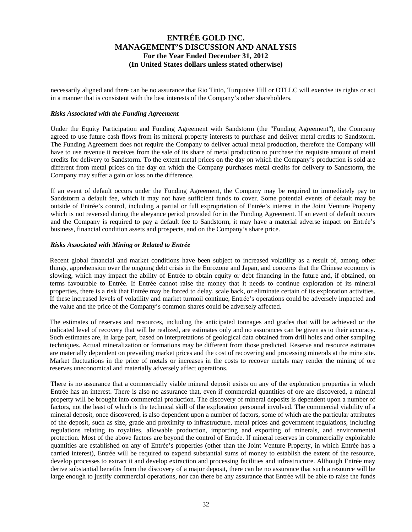necessarily aligned and there can be no assurance that Rio Tinto, Turquoise Hill or OTLLC will exercise its rights or act in a manner that is consistent with the best interests of the Company's other shareholders.

#### *Risks Associated with the Funding Agreement*

Under the Equity Participation and Funding Agreement with Sandstorm (the "Funding Agreement"), the Company agreed to use future cash flows from its mineral property interests to purchase and deliver metal credits to Sandstorm. The Funding Agreement does not require the Company to deliver actual metal production, therefore the Company will have to use revenue it receives from the sale of its share of metal production to purchase the requisite amount of metal credits for delivery to Sandstorm. To the extent metal prices on the day on which the Company's production is sold are different from metal prices on the day on which the Company purchases metal credits for delivery to Sandstorm, the Company may suffer a gain or loss on the difference.

If an event of default occurs under the Funding Agreement, the Company may be required to immediately pay to Sandstorm a default fee, which it may not have sufficient funds to cover. Some potential events of default may be outside of Entrée's control, including a partial or full expropriation of Entrée's interest in the Joint Venture Property which is not reversed during the abeyance period provided for in the Funding Agreement. If an event of default occurs and the Company is required to pay a default fee to Sandstorm, it may have a material adverse impact on Entrée's business, financial condition assets and prospects, and on the Company's share price.

#### *Risks Associated with Mining or Related to Entrée*

Recent global financial and market conditions have been subject to increased volatility as a result of, among other things, apprehension over the ongoing debt crisis in the Eurozone and Japan, and concerns that the Chinese economy is slowing, which may impact the ability of Entrée to obtain equity or debt financing in the future and, if obtained, on terms favourable to Entrée. If Entrée cannot raise the money that it needs to continue exploration of its mineral properties, there is a risk that Entrée may be forced to delay, scale back, or eliminate certain of its exploration activities. If these increased levels of volatility and market turmoil continue, Entrée's operations could be adversely impacted and the value and the price of the Company's common shares could be adversely affected.

The estimates of reserves and resources, including the anticipated tonnages and grades that will be achieved or the indicated level of recovery that will be realized, are estimates only and no assurances can be given as to their accuracy. Such estimates are, in large part, based on interpretations of geological data obtained from drill holes and other sampling techniques. Actual mineralization or formations may be different from those predicted. Reserve and resource estimates are materially dependent on prevailing market prices and the cost of recovering and processing minerals at the mine site. Market fluctuations in the price of metals or increases in the costs to recover metals may render the mining of ore reserves uneconomical and materially adversely affect operations.

There is no assurance that a commercially viable mineral deposit exists on any of the exploration properties in which Entrée has an interest. There is also no assurance that, even if commercial quantities of ore are discovered, a mineral property will be brought into commercial production. The discovery of mineral deposits is dependent upon a number of factors, not the least of which is the technical skill of the exploration personnel involved. The commercial viability of a mineral deposit, once discovered, is also dependent upon a number of factors, some of which are the particular attributes of the deposit, such as size, grade and proximity to infrastructure, metal prices and government regulations, including regulations relating to royalties, allowable production, importing and exporting of minerals, and environmental protection. Most of the above factors are beyond the control of Entrée. If mineral reserves in commercially exploitable quantities are established on any of Entrée's properties (other than the Joint Venture Property, in which Entrée has a carried interest), Entrée will be required to expend substantial sums of money to establish the extent of the resource, develop processes to extract it and develop extraction and processing facilities and infrastructure. Although Entrée may derive substantial benefits from the discovery of a major deposit, there can be no assurance that such a resource will be large enough to justify commercial operations, nor can there be any assurance that Entrée will be able to raise the funds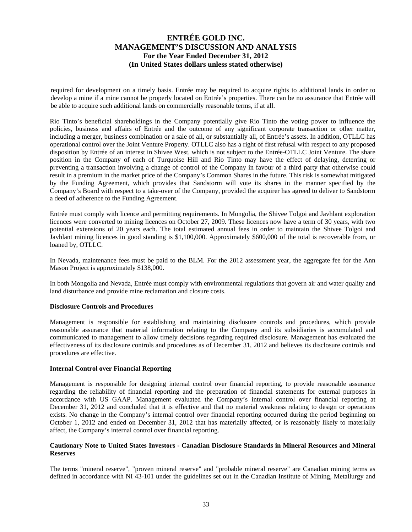required for development on a timely basis. Entrée may be required to acquire rights to additional lands in order to develop a mine if a mine cannot be properly located on Entrée's properties. There can be no assurance that Entrée will be able to acquire such additional lands on commercially reasonable terms, if at all.

Rio Tinto's beneficial shareholdings in the Company potentially give Rio Tinto the voting power to influence the policies, business and affairs of Entrée and the outcome of any significant corporate transaction or other matter, including a merger, business combination or a sale of all, or substantially all, of Entrée's assets. In addition, OTLLC has operational control over the Joint Venture Property. OTLLC also has a right of first refusal with respect to any proposed disposition by Entrée of an interest in Shivee West, which is not subject to the Entrée-OTLLC Joint Venture. The share position in the Company of each of Turquoise Hill and Rio Tinto may have the effect of delaying, deterring or preventing a transaction involving a change of control of the Company in favour of a third party that otherwise could result in a premium in the market price of the Company's Common Shares in the future. This risk is somewhat mitigated by the Funding Agreement, which provides that Sandstorm will vote its shares in the manner specified by the Company's Board with respect to a take-over of the Company, provided the acquirer has agreed to deliver to Sandstorm a deed of adherence to the Funding Agreement.

Entrée must comply with licence and permitting requirements. In Mongolia, the Shivee Tolgoi and Javhlant exploration licences were converted to mining licences on October 27, 2009. These licences now have a term of 30 years, with two potential extensions of 20 years each. The total estimated annual fees in order to maintain the Shivee Tolgoi and Javhlant mining licences in good standing is \$1,100,000. Approximately \$600,000 of the total is recoverable from, or loaned by, OTLLC.

In Nevada, maintenance fees must be paid to the BLM. For the 2012 assessment year, the aggregate fee for the Ann Mason Project is approximately \$138,000.

In both Mongolia and Nevada, Entrée must comply with environmental regulations that govern air and water quality and land disturbance and provide mine reclamation and closure costs.

#### **Disclosure Controls and Procedures**

Management is responsible for establishing and maintaining disclosure controls and procedures, which provide reasonable assurance that material information relating to the Company and its subsidiaries is accumulated and communicated to management to allow timely decisions regarding required disclosure. Management has evaluated the effectiveness of its disclosure controls and procedures as of December 31, 2012 and believes its disclosure controls and procedures are effective.

#### **Internal Control over Financial Reporting**

Management is responsible for designing internal control over financial reporting, to provide reasonable assurance regarding the reliability of financial reporting and the preparation of financial statements for external purposes in accordance with US GAAP. Management evaluated the Company's internal control over financial reporting at December 31, 2012 and concluded that it is effective and that no material weakness relating to design or operations exists. No change in the Company's internal control over financial reporting occurred during the period beginning on October 1, 2012 and ended on December 31, 2012 that has materially affected, or is reasonably likely to materially affect, the Company's internal control over financial reporting.

#### **Cautionary Note to United States Investors - Canadian Disclosure Standards in Mineral Resources and Mineral Reserves**

The terms "mineral reserve", "proven mineral reserve" and "probable mineral reserve" are Canadian mining terms as defined in accordance with NI 43-101 under the guidelines set out in the Canadian Institute of Mining, Metallurgy and